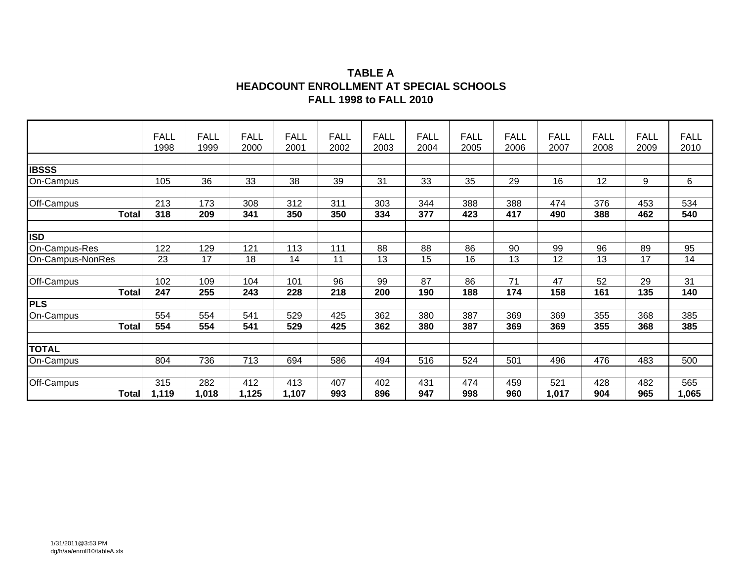#### **TABLE AHEADCOUNT ENROLLMENT AT SPECIAL SCHOOLS FALL 1998 to FALL 2010**

|                  | <b>FALL</b> | <b>FALL</b> | <b>FALL</b> | <b>FALL</b> | <b>FALL</b> | <b>FALL</b> | <b>FALL</b> | <b>FALL</b> | <b>FALL</b> | <b>FALL</b> | <b>FALL</b> | <b>FALL</b>      | <b>FALL</b> |
|------------------|-------------|-------------|-------------|-------------|-------------|-------------|-------------|-------------|-------------|-------------|-------------|------------------|-------------|
|                  | 1998        | 1999        | 2000        | 2001        | 2002        | 2003        | 2004        | 2005        | 2006        | 2007        | 2008        | 2009             | 2010        |
| <b>IBSSS</b>     |             |             |             |             |             |             |             |             |             |             |             |                  |             |
| On-Campus        | 105         | 36          | 33          | 38          | 39          | 31          | 33          | 35          | 29          | 16          | 12          | 9                | 6           |
|                  |             |             |             |             |             |             |             |             |             |             |             |                  |             |
| Off-Campus       | 213         | 173         | 308         | 312         | 311         | 303         | 344         | 388         | 388         | 474         | 376         | 453              | 534         |
| <b>Total</b>     | 318         | 209         | 341         | 350         | 350         | 334         | 377         | 423         | 417         | 490         | 388         | 462              | 540         |
|                  |             |             |             |             |             |             |             |             |             |             |             |                  |             |
| <b>ISD</b>       |             |             |             |             |             |             |             |             |             |             |             |                  |             |
| On-Campus-Res    | 122         | 129         | 121         | 113         | 111         | 88          | 88          | 86          | 90          | 99          | 96          | 89               | 95          |
| On-Campus-NonRes | 23          | 17          | 18          | 14          | 11          | 13          | 15          | 16          | 13          | 12          | 13          | 17               | 14          |
|                  |             |             |             |             |             |             |             |             |             |             |             |                  |             |
| Off-Campus       | 102         | 109         | 104         | 101         | 96          | 99          | 87          | 86          | 71          | 47          | 52          | 29               | 31          |
| <b>Total</b>     | 247         | 255         | 243         | 228         | 218         | 200         | 190         | 188         | 174         | 158         | 161         | $\overline{135}$ | 140         |
| <b>PLS</b>       |             |             |             |             |             |             |             |             |             |             |             |                  |             |
| On-Campus        | 554         | 554         | 541         | 529         | 425         | 362         | 380         | 387         | 369         | 369         | 355         | 368              | 385         |
| <b>Total</b>     | 554         | 554         | 541         | 529         | 425         | 362         | 380         | 387         | 369         | 369         | 355         | 368              | 385         |
|                  |             |             |             |             |             |             |             |             |             |             |             |                  |             |
| <b>TOTAL</b>     |             |             |             |             |             |             |             |             |             |             |             |                  |             |
| On-Campus        | 804         | 736         | 713         | 694         | 586         | 494         | 516         | 524         | 501         | 496         | 476         | 483              | 500         |
|                  |             |             |             |             |             |             |             |             |             |             |             |                  |             |
| Off-Campus       | 315         | 282         | 412         | 413         | 407         | 402         | 431         | 474         | 459         | 521         | 428         | 482              | 565         |
| <b>Total</b>     | 1,119       | 1,018       | 1,125       | 1,107       | 993         | 896         | 947         | 998         | 960         | 1,017       | 904         | 965              | 1,065       |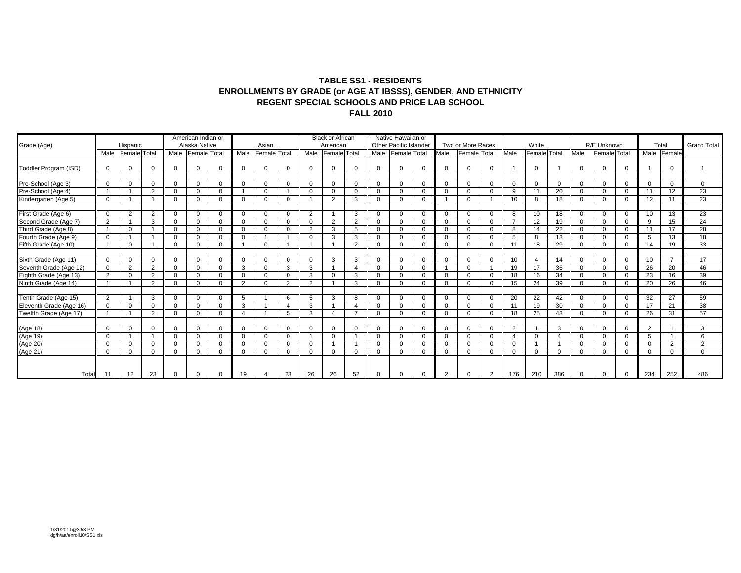#### **TABLE SS1 - RESIDENTS ENROLLMENTS BY GRADE (or AGE AT IBSSS), GENDER, AND ETHNICITY REGENT SPECIAL SCHOOLS AND PRICE LAB SCHOOLFALL 2010**

| Grade (Age)                                   |                | Hispanic            |                |   | American Indian or<br>Alaska Native |             |              | Asian                   |                      |          | <b>Black or African</b><br>American |          |              | Native Hawaiian or<br><b>Other Pacific Islander</b> |          |              | Two or More Races |                |                | White               |                |             | R/E Unknown         |          |          | Total          | <b>Grand Total</b> |
|-----------------------------------------------|----------------|---------------------|----------------|---|-------------------------------------|-------------|--------------|-------------------------|----------------------|----------|-------------------------------------|----------|--------------|-----------------------------------------------------|----------|--------------|-------------------|----------------|----------------|---------------------|----------------|-------------|---------------------|----------|----------|----------------|--------------------|
|                                               | Male           | <b>Female</b> Total |                |   | Male Female Total                   |             | Male         | Female Total            |                      | Male     | Female Total                        |          | Male         | Female Total                                        |          | Male         | Female Total      |                | Male           | <b>Female</b> Total |                | Male        | <b>Female</b> Total |          | Male     | Female         |                    |
| Toddler Program (ISD)                         | $\Omega$       | $\Omega$            | $\Omega$       |   | $\Omega$                            | $\Omega$    | $\Omega$     | $\Omega$                |                      | $\Omega$ | $\Omega$                            | $\Omega$ | $\Omega$     |                                                     | $\Omega$ | $\Omega$     | $\Omega$          | $\Omega$       |                | $\Omega$            |                | $\Omega$    | $\Omega$            | $\Omega$ |          | $\Omega$       |                    |
|                                               |                |                     |                |   |                                     |             |              |                         |                      |          |                                     |          |              |                                                     |          |              |                   |                |                |                     |                |             |                     |          |          |                |                    |
| Pre-School (Age 3)                            | $\overline{0}$ | $\mathbf{0}$        | $\Omega$       |   | $\Omega$                            | $\mathbf 0$ | $\Omega$     | $\mathbf{0}$            |                      | $\Omega$ | $\mathbf 0$                         | $\Omega$ | $\mathbf{0}$ | $\Omega$                                            | $\Omega$ | $\Omega$     | $\Omega$          | $\mathbf 0$    | $\Omega$       | $\Omega$            | $\mathbf 0$    | $\Omega$    | $\mathbf 0$         | $\Omega$ | $\Omega$ | $\mathbf 0$    | $\Omega$           |
| Pre-School (Age 4)                            |                |                     | 2              |   | $\Omega$                            | $\Omega$    |              | $\mathbf 0$             |                      | $\Omega$ | $\Omega$                            | $\Omega$ | $\mathbf 0$  | ∩                                                   | $\Omega$ | $\Omega$     | $\Omega$          | $\Omega$       | 9              | 11                  | 20             | $\Omega$    | $\mathbf 0$         | $\Omega$ | 11       | 12             | 23                 |
| Kindergarten (Age 5)                          | $\overline{0}$ |                     |                |   | $\Omega$                            | 0           | $\Omega$     | $\mathbf 0$             |                      |          | $\overline{2}$                      | 3        | $\mathbf 0$  | $\Omega$                                            | $\Omega$ |              | $\Omega$          |                | 10             | 8                   | 18             | $\Omega$    | $\mathbf 0$         | $\Omega$ | 12       | 11             | 23                 |
|                                               |                |                     |                |   |                                     |             |              |                         |                      |          |                                     |          |              |                                                     |          |              |                   |                |                |                     |                |             |                     |          |          |                |                    |
| First Grade (Age 6)                           | $\Omega$       | 2                   | $\overline{2}$ |   | $\Omega$                            | $\Omega$    | $\cap$       | $\mathbf 0$             |                      | 2        |                                     | 3        | $\mathbf 0$  |                                                     | $\Omega$ | $\Omega$     | $\Omega$          | $\mathbf 0$    | 8              | 10                  | 18             | $\Omega$    | $\mathbf 0$         |          | 10       | 13             | 23                 |
| Second Grade (Age 7)                          | $\overline{2}$ |                     | 3              |   | $\Omega$                            | $\Omega$    | $\Omega$     | $\Omega$                | $\Omega$             | $\Omega$ | 2                                   | 2        | $\Omega$     | $\Omega$                                            | $\Omega$ | $\mathbf 0$  | $\Omega$          | $\Omega$       | $\overline{ }$ | 12                  | 19             | $\Omega$    | $\Omega$            | $\Omega$ | 9        | 15             | 24                 |
| Third Grade (Age 8)                           |                | $\Omega$            |                |   | $\Omega$                            | 0           | $\Omega$     | $\mathbf 0$             |                      | 2        | 3                                   | 5        | $\Omega$     | $\Omega$                                            | $\Omega$ | $\Omega$     | $\Omega$          | $\Omega$       | 8              | 14                  | 22             | $\Omega$    | $\Omega$            | $\Omega$ | 11       | 17             | 28                 |
| Fourth Grade (Age 9)                          | $\Omega$       |                     |                |   | $\Omega$                            | $\Omega$    | $\Omega$     | $\overline{\mathbf{A}}$ |                      | $\Omega$ | 3                                   | 3        | $\Omega$     |                                                     | $\Omega$ | $\Omega$     | $\Omega$          | $\Omega$       | 5              | 8                   | 13             | $\Omega$    | $\Omega$            | $\Omega$ | -5       | 13             | 18                 |
| Fifth Grade (Age 10)                          |                | $\Omega$            |                |   | $\Omega$                            | $\Omega$    |              | $\Omega$                |                      |          |                                     | 2        | $\Omega$     |                                                     | $\Omega$ | $\Omega$     | $\Omega$          | $\Omega$       | 11             | 18                  | 29             | $\Omega$    | $\Omega$            |          | 14       | 19             | 33                 |
|                                               |                |                     |                |   |                                     |             |              |                         |                      |          |                                     |          |              |                                                     |          |              |                   |                |                |                     |                |             |                     |          |          |                |                    |
| Sixth Grade (Age 11)                          | $\overline{0}$ | $\mathbf 0$         | $\mathbf 0$    |   | $\Omega$                            | 0           | $\Omega$     | $\mathbf 0$             |                      | $\Omega$ | 3                                   | 3        | $\mathbf 0$  | $\Omega$                                            | $\Omega$ | $\mathbf{0}$ | $\Omega$          | $\mathbf 0$    | 10             | $\overline{4}$      | 14             | $\Omega$    | $\mathbf 0$         | $\Omega$ | 10       | $\overline{7}$ | 17                 |
| Seventh Grade (Age 12)                        | $\Omega$       | 2                   | 2              |   | $\Omega$                            | $\Omega$    | 3            | $\Omega$                | 3                    | 3        |                                     |          | $\Omega$     | $\Omega$                                            | $\Omega$ |              | $\Omega$          |                | 19             | 17                  | 36             | $\Omega$    | $\Omega$            | $\Omega$ | 26       | 20             | 46                 |
| Eighth Grade (Age 13)<br>Ninth Grade (Age 14) | $\overline{2}$ | $\Omega$            | 2              |   | $\Omega$                            | $\Omega$    | $\Omega$     | $\Omega$                |                      | 3        | $\Omega$                            | 3        | $\Omega$     | $\Omega$                                            | $\Omega$ | $\Omega$     | $\Omega$          | $\Omega$       | 18             | 16                  | 34             | $\Omega$    | $\Omega$            |          | 23       | 16             | 39                 |
|                                               |                |                     | $\overline{2}$ |   | $\Omega$                            | $\Omega$    | ຳ            | $\Omega$                | 2                    | 2        |                                     | 3        | $\Omega$     |                                                     | $\Omega$ | $\Omega$     | $\Omega$          | $\Omega$       | 15             | 24                  | 39             | $\Omega$    | $\Omega$            |          | 20       | 26             | 46                 |
|                                               |                |                     |                |   |                                     |             |              |                         |                      |          |                                     |          |              |                                                     |          |              |                   |                |                |                     |                |             |                     |          |          |                |                    |
| Tenth Grade (Age 15)                          | 2              |                     | 3              | U | $\Omega$                            | $\mathbf 0$ | 5            | -1                      | 6                    | 5        | 3                                   | 8        | $\mathbf 0$  | $\Omega$                                            | $\Omega$ | $\mathbf 0$  | $\mathbf 0$       | $\mathbf 0$    | 20             | 22                  | 42             | $\mathbf 0$ | $\mathbf 0$         | $\Omega$ | 32       | 27             | 59                 |
| Eleventh Grade (Age 16)                       | $\overline{0}$ | $\Omega$            | $\Omega$       |   | $\Omega$                            | $\Omega$    | $\mathbf{3}$ |                         | $\overline{\Lambda}$ | 3        |                                     |          | $\Omega$     | ∩                                                   | $\Omega$ | $\Omega$     | $\Omega$          | $\Omega$       | 11             | 19                  | 30             | $\Omega$    | $\Omega$            | $\Omega$ | 17       | 21             | 38                 |
| Twelfth Grade (Age 17)                        |                |                     | 2              |   | $\Omega$                            | $\Omega$    |              |                         |                      | 3        |                                     |          | $\Omega$     | ∩                                                   | $\Omega$ | $\Omega$     | $\Omega$          | $\Omega$       | 18             | 25                  | 43             | $\Omega$    | $\Omega$            |          | 26       | 31             | 57                 |
|                                               |                |                     |                |   |                                     |             |              |                         |                      |          |                                     |          |              |                                                     |          |              |                   |                |                |                     |                |             |                     |          |          |                |                    |
| (Age 18)<br>(Age 19)                          | $\Omega$       | $\Omega$            | $\Omega$       |   | $\Omega$                            | 0           | $\Omega$     | $\mathbf 0$             | $\Omega$             | $\Omega$ | $\mathbf{0}$                        | $\Omega$ | $\Omega$     | $\Omega$                                            | $\Omega$ | $\mathbf{0}$ | $\Omega$          | $\Omega$       | 2              |                     | 3              | $\Omega$    | $\Omega$            | $\Omega$ | 2        |                | 3                  |
|                                               | $\Omega$       |                     |                |   | $\Omega$                            | $\Omega$    | $\Omega$     | $\mathbf 0$             |                      |          | $\Omega$                            |          | $\Omega$     | $\Omega$                                            | $\Omega$ | $\Omega$     | $\Omega$          | $\Omega$       | $\Lambda$      | $\Omega$            | $\overline{4}$ | $\Omega$    | $\mathbf 0$         | $\Omega$ | -5       |                | 6                  |
|                                               | $\overline{0}$ | $\mathbf{0}$        | $\mathbf 0$    |   | $\Omega$                            | 0           | $\Omega$     | $\mathbf 0$             |                      | $\Omega$ |                                     |          | $\mathbf 0$  | $\Omega$                                            | $\Omega$ | $\mathbf 0$  | $\Omega$          | $\mathbf 0$    | $\Omega$       |                     |                | $\Omega$    | $\mathbf 0$         | $\Omega$ | $\Omega$ | 2              | 2                  |
| (Age 20)<br>(Age 21)                          | $\mathbf 0$    | $\Omega$            | $\Omega$       |   | $\Omega$                            | 0           | $\Omega$     | $\Omega$                |                      | $\Omega$ | $\mathbf{0}$                        | $\Omega$ | $\Omega$     | 0                                                   | $\Omega$ | $\mathbf{0}$ | $\Omega$          | $\Omega$       | 0              | $\Omega$            | 0              | $\Omega$    | $\Omega$            | 0        | $\Omega$ | $\Omega$       | $\Omega$           |
| Total                                         | 11             | 12                  | 23             |   |                                     |             | 19           |                         | 23                   | 26       | 26                                  | 52       | $\Omega$     |                                                     |          | 2            |                   | $\overline{2}$ | 176            | 210                 | 386            |             | $\Omega$            | 0        | 234      | 252            | 486                |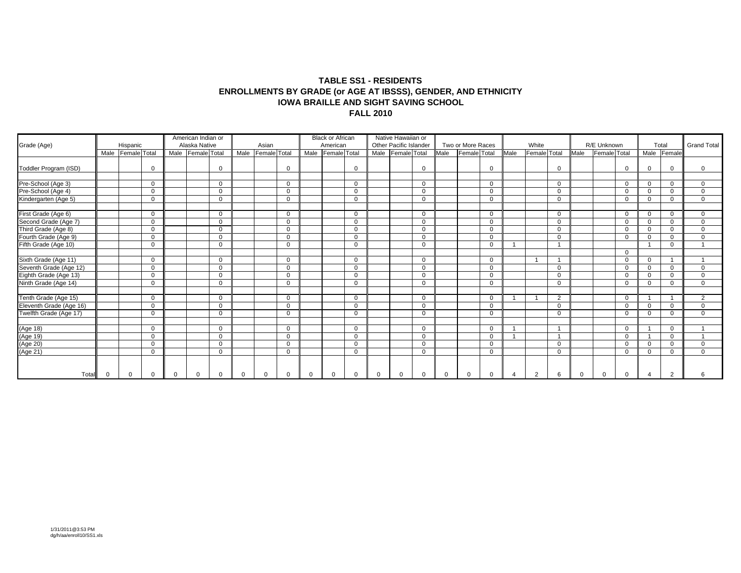#### **TABLE SS1 - RESIDENTS ENROLLMENTS BY GRADE (or AGE AT IBSSS), GENDER, AND ETHNICITY IOWA BRAILLE AND SIGHT SAVING SCHOOLFALL 2010**

| Grade (Age)                                   |   | Hispanic          |             | American Indian or<br>Alaska Native |          |          | Asian        |          | <b>Black or African</b><br>American |             |          | Native Hawaiian or<br>Other Pacific Islander |          |              | Two or More Races |             |      | White        |                |          | R/E Unknown  |                |          | Total          | <b>Grand Total</b> |
|-----------------------------------------------|---|-------------------|-------------|-------------------------------------|----------|----------|--------------|----------|-------------------------------------|-------------|----------|----------------------------------------------|----------|--------------|-------------------|-------------|------|--------------|----------------|----------|--------------|----------------|----------|----------------|--------------------|
|                                               |   | Male Female Total |             | Male Female Total                   |          | Male     | Female Total |          | Male Female Total                   |             |          | Male Female Total                            |          | Male         | Female Total      |             | Male | Female Total |                | Male     | Female Total |                |          | Male Female    |                    |
| Toddler Program (ISD)                         |   |                   | $\Omega$    |                                     | $\Omega$ |          |              |          |                                     | $\Omega$    |          |                                              | $\Omega$ |              |                   | $\mathbf 0$ |      |              | $\Omega$       |          |              | $\Omega$       | ∩        | $\Omega$       | $\Omega$           |
| Pre-School (Age 3)                            |   |                   | $\mathbf 0$ |                                     | $\Omega$ |          |              | $\Omega$ |                                     | $\mathbf 0$ |          |                                              | $\Omega$ |              |                   | $\mathbf 0$ |      |              | $\Omega$       |          |              | $\Omega$       | $\Omega$ | $\mathbf{0}$   | $\Omega$           |
| Pre-School (Age 4)                            |   |                   | $\mathbf 0$ |                                     | $\Omega$ |          |              |          |                                     | $\Omega$    |          |                                              | $\Omega$ |              |                   | $\mathbf 0$ |      |              | $\Omega$       |          |              | $\Omega$       | $\Omega$ | $\Omega$       | $\Omega$           |
| Kindergarten (Age 5)                          |   |                   | $\mathbf 0$ |                                     | 0        |          |              | $\Omega$ |                                     | $\mathbf 0$ |          |                                              | $\Omega$ |              |                   | $\mathbf 0$ |      |              | $\Omega$       |          |              | $\Omega$       | $\Omega$ | $\Omega$       | $\mathbf 0$        |
| First Grade (Age 6)                           |   |                   | $\mathbf 0$ |                                     | $\Omega$ |          |              | $\Omega$ |                                     | $\Omega$    |          |                                              | $\Omega$ |              |                   | $\mathbf 0$ |      |              | $\Omega$       |          |              | $\Omega$       | $\Omega$ | 0              | $\Omega$           |
| Second Grade (Age 7)                          |   |                   | $\Omega$    |                                     | $\Omega$ |          |              | $\Omega$ |                                     | $\Omega$    |          |                                              | $\Omega$ |              |                   | $\mathbf 0$ |      |              | $\Omega$       |          |              | $\Omega$       | $\Omega$ | $\Omega$       | $\Omega$           |
| Third Grade (Age 8)                           |   |                   | $\Omega$    |                                     | $\Omega$ |          |              |          |                                     | $\Omega$    |          |                                              | $\Omega$ |              |                   | $\Omega$    |      |              | $\Omega$       |          |              | $\Omega$       | $\Omega$ | $\Omega$       | $\Omega$           |
| Fourth Grade (Age 9)                          |   |                   | $\mathbf 0$ |                                     | $\Omega$ |          |              |          |                                     | $\Omega$    |          |                                              | $\Omega$ |              |                   | $\mathbf 0$ |      |              | $\Omega$       |          |              | $\Omega$       | $\Omega$ | $\Omega$       | $\Omega$           |
| Fifth Grade (Age 10)                          |   |                   | $\mathbf 0$ |                                     | 0        |          |              | $\Omega$ |                                     | $\Omega$    |          |                                              | $\Omega$ |              |                   | $\mathbf 0$ |      |              |                |          |              |                |          | 0              |                    |
|                                               |   |                   |             |                                     |          |          |              |          |                                     |             |          |                                              |          |              |                   |             |      |              |                |          |              | $\Omega$       |          |                |                    |
| Sixth Grade (Age 11)                          |   |                   | $\mathbf 0$ |                                     | $\Omega$ |          |              | $\Omega$ |                                     | $\Omega$    |          |                                              | $\Omega$ |              |                   | $\mathbf 0$ |      |              |                |          |              | $\Omega$       | $\Omega$ |                |                    |
| Seventh Grade (Age 12)                        |   |                   | $\Omega$    |                                     | $\Omega$ |          |              | $\Omega$ |                                     | $\Omega$    |          |                                              | $\Omega$ |              |                   | $\Omega$    |      |              | $\Omega$       |          |              | $\Omega$       | $\Omega$ | $\Omega$       | $\Omega$           |
| Eighth Grade (Age 13)<br>Ninth Grade (Age 14) |   |                   | $\mathbf 0$ |                                     | $\Omega$ |          |              |          |                                     | $\Omega$    |          |                                              | $\Omega$ |              |                   | $\mathbf 0$ |      |              | $\Omega$       |          |              | $\Omega$       | $\Omega$ | $\Omega$       | $\Omega$           |
|                                               |   |                   | $\mathbf 0$ |                                     | 0        |          |              | $\Omega$ |                                     | $\mathbf 0$ |          |                                              | $\Omega$ |              |                   | $\mathbf 0$ |      |              | 0              |          |              | $\overline{0}$ | $\Omega$ | $\mathbf 0$    | $\Omega$           |
|                                               |   |                   |             |                                     |          |          |              |          |                                     |             |          |                                              |          |              |                   |             |      |              |                |          |              |                |          |                |                    |
| Tenth Grade (Age 15)                          |   |                   | $\Omega$    |                                     | $\Omega$ |          |              | $\Omega$ |                                     | $\Omega$    |          |                                              | $\Omega$ |              |                   | $\Omega$    |      |              | $\overline{2}$ |          |              | $\Omega$       |          |                | 2                  |
| Eleventh Grade (Age 16)                       |   |                   | $\Omega$    |                                     | $\Omega$ |          |              |          |                                     | $\Omega$    |          |                                              | $\Omega$ |              |                   | $\mathbf 0$ |      |              | $\Omega$       |          |              | $\Omega$       | $\Omega$ | $\Omega$       | $\Omega$           |
| Twelfth Grade (Age 17)                        |   |                   | $\mathbf 0$ |                                     | $\Omega$ |          |              |          |                                     | $\Omega$    |          |                                              | $\Omega$ |              |                   | $\mathbf 0$ |      |              | $\Omega$       |          |              | $\Omega$       | $\Omega$ | $\Omega$       | $\mathbf 0$        |
|                                               |   |                   |             |                                     |          |          |              |          |                                     |             |          |                                              |          |              |                   |             |      |              |                |          |              |                |          |                |                    |
| (Age 18)<br>(Age 19)<br>(Age 20)<br>(Age 21)  |   |                   | $\mathbf 0$ |                                     | $\Omega$ |          |              | $\Omega$ |                                     | $\mathbf 0$ |          |                                              | $\Omega$ |              |                   | $\mathbf 0$ |      |              |                |          |              | $\Omega$       |          | $\mathbf 0$    |                    |
|                                               |   |                   | $\mathbf 0$ |                                     | $\Omega$ |          |              | $\Omega$ |                                     | $\Omega$    |          |                                              | $\Omega$ |              |                   | $\Omega$    |      |              |                |          |              | $\Omega$       |          | $\Omega$       |                    |
|                                               |   |                   | $\Omega$    |                                     | $\Omega$ |          |              |          |                                     | $\Omega$    |          |                                              | $\Omega$ |              |                   | $\Omega$    |      |              | $\Omega$       |          |              | $\Omega$       | $\Omega$ | $\Omega$       | $\Omega$           |
|                                               |   |                   | $\mathbf 0$ |                                     | $\Omega$ |          |              | C        |                                     | $\mathbf 0$ |          |                                              | $\Omega$ |              |                   | $\mathbf 0$ |      |              | $\Omega$       |          |              | $\Omega$       | $\Omega$ | $\Omega$       | $\Omega$           |
| Total                                         | 0 | $\mathbf 0$       | $\mathbf 0$ | 0                                   | 0        | $\Omega$ | $\Omega$     |          | $\mathbf{0}$                        | $\Omega$    | $\Omega$ |                                              |          | $\mathbf{0}$ | $\Omega$          | $\Omega$    |      | 2            | 6              | $\Omega$ | $\Omega$     |                |          | $\overline{2}$ |                    |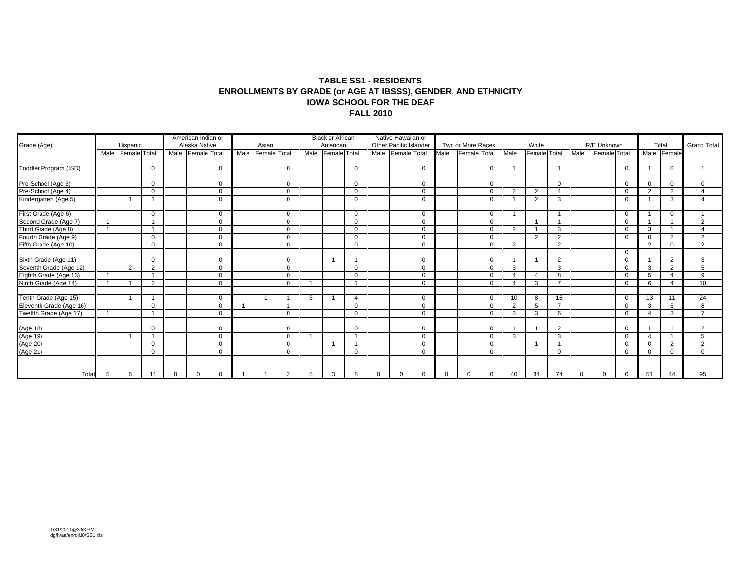#### **TABLE SS1 - RESIDENTS ENROLLMENTS BY GRADE (or AGE AT IBSSS), GENDER, AND ETHNICITY IOWA SCHOOL FOR THE DEAFFALL 2010**

| Grade (Age)                                       |      | Hispanic       |                | American Indian or<br>Alaska Native |          |      | Asian        |            |   | <b>Black or African</b><br>American |             |          | Native Hawaiian or<br>Other Pacific Islander |          |          | Two or More Races |             |                | White        |                          |             | R/E Unknown  |          |          | Total          | <b>Grand Total</b> |
|---------------------------------------------------|------|----------------|----------------|-------------------------------------|----------|------|--------------|------------|---|-------------------------------------|-------------|----------|----------------------------------------------|----------|----------|-------------------|-------------|----------------|--------------|--------------------------|-------------|--------------|----------|----------|----------------|--------------------|
|                                                   | Male | Female Total   |                | Male Female Total                   |          | Male | Female Total |            |   | Male Female Total                   |             |          | Male Female Total                            |          | Male     | Female Total      |             | Male           | Female Total |                          | Male        | Female Total |          | Male     | Female         |                    |
| Toddler Program (ISD)                             |      |                | $\Omega$       |                                     | $\Omega$ |      |              |            |   |                                     | $\Omega$    |          |                                              | $\Omega$ |          |                   | $\Omega$    |                |              |                          |             |              | $\Omega$ |          | 0              |                    |
| Pre-School (Age 3)                                |      |                | $\mathbf 0$    |                                     | $\Omega$ |      |              | $\Omega$   |   |                                     | $\Omega$    |          |                                              | $\Omega$ |          |                   | $\mathbf 0$ |                |              | 0                        |             |              | $\Omega$ | $\Omega$ | 0              | $\Omega$           |
| Pre-School (Age 4)                                |      |                | $\mathbf 0$    |                                     | $\Omega$ |      |              |            |   |                                     | $\mathbf 0$ |          |                                              | $\Omega$ |          |                   | $\mathbf 0$ | ◠              | 2            | $\Delta$                 |             |              | $\Omega$ | 2        | $\overline{2}$ |                    |
| Kindergarten (Age 5)                              |      |                |                |                                     | $\Omega$ |      |              |            |   |                                     | $\Omega$    |          |                                              | $\Omega$ |          |                   | $\mathbf 0$ |                | 2            | 3                        |             |              |          |          | 3              |                    |
| First Grade (Age 6)                               |      |                | $\mathbf 0$    |                                     | 0        |      |              | $\Omega$   |   |                                     | $\mathbf 0$ |          |                                              | $\Omega$ |          |                   | $\mathbf 0$ |                |              |                          |             |              | 0        |          | $\mathbf 0$    |                    |
| Second Grade (Age 7)                              |      |                |                |                                     | $\Omega$ |      |              | $\Omega$   |   |                                     | $\Omega$    |          |                                              | $\Omega$ |          |                   | $\mathbf 0$ |                |              |                          |             |              | $\Omega$ |          |                | 2                  |
| Third Grade (Age 8)                               |      |                |                |                                     | $\Omega$ |      |              | $\Omega$   |   |                                     | $\Omega$    |          |                                              | $\Omega$ |          |                   | $\Omega$    | $\overline{2}$ |              | 3                        |             |              | $\Omega$ | 3        |                |                    |
|                                                   |      |                | $\Omega$       |                                     | $\Omega$ |      |              | $\sqrt{2}$ |   |                                     | $\mathbf 0$ |          |                                              | $\Omega$ |          |                   | $\mathbf 0$ |                | $\Omega$     | $\Omega$                 |             |              | $\Omega$ | $\Omega$ | $\overline{2}$ | $\mathcal{L}$      |
| Fourth Grade (Age 9)<br>Fifth Grade (Age 10)      |      |                | $\mathbf 0$    |                                     | $\Omega$ |      |              | ∩          |   |                                     | $\Omega$    |          |                                              | $\Omega$ |          |                   | $\mathbf 0$ | $\overline{2}$ |              | $\overline{2}$           |             |              |          | 2        | $\Omega$       | 2                  |
|                                                   |      |                |                |                                     |          |      |              |            |   |                                     |             |          |                                              |          |          |                   |             |                |              |                          |             |              | $\Omega$ |          |                |                    |
| Sixth Grade (Age 11)                              |      |                | $\Omega$       |                                     | $\Omega$ |      |              | ∩          |   |                                     |             |          |                                              | $\Omega$ |          |                   | $\Omega$    |                |              | 2                        |             |              |          |          | $\overline{2}$ | 3                  |
| Seventh Grade (Age 12)                            |      | $\overline{2}$ | $\overline{2}$ |                                     | $\Omega$ |      |              |            |   |                                     | $\Omega$    |          |                                              | $\Omega$ |          |                   | $\mathbf 0$ | 3              |              | 3                        |             |              | $\Omega$ | 3        | $\overline{2}$ | 5                  |
| Eighth Grade (Age 13)<br>Ninth Grade (Age 14)     |      |                |                |                                     | $\Omega$ |      |              | $\Omega$   |   |                                     | $\Omega$    |          |                                              | $\Omega$ |          |                   | $\Omega$    |                | $\Lambda$    | 8                        |             |              | $\Omega$ | 5        | Δ              | 9                  |
|                                                   |      |                | 2              |                                     | $\Omega$ |      |              |            |   |                                     |             |          |                                              | $\Omega$ |          |                   | $\Omega$    |                | 3            | $\overline{\phantom{a}}$ |             |              | $\Omega$ | 6        | 4              | 10                 |
| Tenth Grade (Age 15)                              |      |                |                |                                     | $\Omega$ |      |              |            | 3 |                                     |             |          |                                              | $\Omega$ |          |                   | $\Omega$    | 10             | 8            | 18                       |             |              | $\Omega$ | 13       | 11             | 24                 |
|                                                   |      |                | $\Omega$       |                                     | $\Omega$ |      |              |            |   |                                     | $\Omega$    |          |                                              | $\Omega$ |          |                   | $\Omega$    | $\Omega$       | 5            | $\overline{\phantom{a}}$ |             |              |          | 3        | 5              | 8                  |
| Eleventh Grade (Age 16)<br>Twelfth Grade (Age 17) |      |                |                |                                     | $\Omega$ |      |              | $\Omega$   |   |                                     | $\Omega$    |          |                                              | $\Omega$ |          |                   | $\Omega$    | 3              | 3            | 6                        |             |              | $\Omega$ |          | 3              |                    |
|                                                   |      |                |                |                                     |          |      |              |            |   |                                     |             |          |                                              |          |          |                   |             |                |              |                          |             |              |          |          |                |                    |
|                                                   |      |                | $\Omega$       |                                     | $\Omega$ |      |              | $\Omega$   |   |                                     | $\Omega$    |          |                                              | $\Omega$ |          |                   | $\Omega$    |                |              | $\overline{2}$           |             |              | $\Omega$ |          |                | $\mathcal{L}$      |
|                                                   |      |                |                |                                     | $\Omega$ |      |              |            |   |                                     |             |          |                                              | $\Omega$ |          |                   | $\mathbf 0$ | 3              |              | 3                        |             |              | $\Omega$ |          |                |                    |
|                                                   |      |                | $\mathbf 0$    |                                     | $\Omega$ |      |              | $\Omega$   |   |                                     |             |          |                                              | $\Omega$ |          |                   | $\mathbf 0$ |                |              |                          |             |              | $\Omega$ | $\Omega$ | $\overline{2}$ | $\overline{2}$     |
| (Age 18)<br>(Age 19)<br>(Age 20)<br>(Age 21)      |      |                | $\Omega$       |                                     | $\Omega$ |      |              | 0          |   |                                     | $\Omega$    |          |                                              | $\Omega$ |          |                   | $\mathbf 0$ |                |              | 0                        |             |              | $\Omega$ | $\Omega$ | 0              | $\Omega$           |
| Total                                             | 5    | 6              | 11             | $\Omega$                            | 0        |      |              | 2          | 5 | 3                                   | 8           | $\Omega$ |                                              | 0        | $\Omega$ | $\Omega$          | 0           | 40             | 34           | 74                       | $\mathbf 0$ | $\Omega$     | 0        | 51       | 44             | 95                 |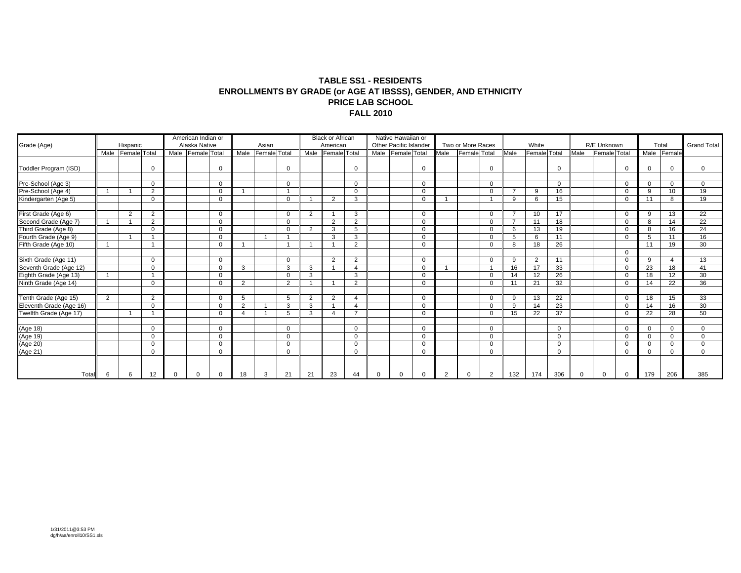#### **TABLE SS1 - RESIDENTS ENROLLMENTS BY GRADE (or AGE AT IBSSS), GENDER, AND ETHNICITY PRICE LAB SCHOOL FALL 2010**

| Grade (Age)                                   |                | Hispanic       |             | American Indian or<br>Alaska Native |          |      | Asian        |                |                | <b>Black or African</b><br>American |                |          | Native Hawaiian or<br>Other Pacific Islander |          |                | Two or More Races |             |          | White               |             |          | R/E Unknown  |          |          | Total          | <b>Grand Total</b> |
|-----------------------------------------------|----------------|----------------|-------------|-------------------------------------|----------|------|--------------|----------------|----------------|-------------------------------------|----------------|----------|----------------------------------------------|----------|----------------|-------------------|-------------|----------|---------------------|-------------|----------|--------------|----------|----------|----------------|--------------------|
|                                               | Male           | Female Total   |             | Male Female Total                   |          | Male | Female Total |                |                | Male Female Total                   |                |          | Male Female Total                            |          | Male           | Female Total      |             | Male     | <b>Female</b> Total |             | Male     | Female Total |          | Male     | Female         |                    |
| Toddler Program (ISD)                         |                |                | $\Omega$    |                                     | $\Omega$ |      |              |                |                |                                     | $\overline{0}$ |          |                                              |          |                |                   | $\Omega$    |          |                     | $\Omega$    |          |              |          |          | $\Omega$       | $\Omega$           |
| Pre-School (Age 3)                            |                |                | $\mathbf 0$ |                                     | 0        |      |              | $\Omega$       |                |                                     | $\Omega$       |          |                                              | $\Omega$ |                |                   | $\mathbf 0$ |          |                     | 0           |          |              | 0        | $\Omega$ | 0              | $\Omega$           |
| Pre-School (Age 4)                            |                |                | 2           |                                     | $\Omega$ |      |              |                |                |                                     | $\mathbf 0$    |          |                                              | $\Omega$ |                |                   | $\mathbf 0$ |          | 9                   | 16          |          |              | $\Omega$ | 9        | 10             | 19                 |
| Kindergarten (Age 5)                          |                |                | $\Omega$    |                                     | $\Omega$ |      |              |                |                | 2                                   | 3              |          |                                              | $\Omega$ |                |                   |             | <b>q</b> | 6                   | 15          |          |              | $\Omega$ | 11       | 8              | 19                 |
| First Grade (Age 6)                           |                | $\overline{2}$ | 2           |                                     | 0        |      |              |                | $\overline{2}$ |                                     | 3              |          |                                              | $\Omega$ |                |                   | $\mathbf 0$ |          | 10                  | 17          |          |              | $\Omega$ | 9        | 13             | 22                 |
| Second Grade (Age 7)                          |                |                | 2           |                                     | $\Omega$ |      |              | $\Omega$       |                | 2                                   | 2              |          |                                              | $\Omega$ |                |                   | $\Omega$    |          | 11                  | 18          |          |              | $\Omega$ | 8        | 14             | $\overline{22}$    |
| Third Grade (Age 8)                           |                |                | $\Omega$    |                                     | $\Omega$ |      |              |                | 2              | 3                                   | 5              |          |                                              | $\Omega$ |                |                   | $\Omega$    | 6        | 13                  | 19          |          |              | $\Omega$ | 8        | 16             | 24                 |
| Fourth Grade (Age 9)                          |                |                |             |                                     | $\Omega$ |      |              |                |                | 3                                   | 3              |          |                                              | $\Omega$ |                |                   | $\mathbf 0$ |          | 6                   | 11          |          |              | $\Omega$ | 5        | 11             | 16                 |
| Fifth Grade (Age 10)                          |                |                |             |                                     | $\Omega$ |      |              |                |                |                                     | $\mathcal{P}$  |          |                                              | $\Omega$ |                |                   | $\Omega$    |          | 18                  | 26          |          |              |          | 11       | 19             | 30                 |
|                                               |                |                |             |                                     |          |      |              |                |                |                                     |                |          |                                              |          |                |                   |             |          |                     |             |          |              | $\Omega$ |          |                |                    |
| Sixth Grade (Age 11)                          |                |                | $\Omega$    |                                     | $\Omega$ |      |              | $\Omega$       |                | 2                                   | 2              |          |                                              | $\Omega$ |                |                   | $\Omega$    | 9        | 2                   | 11          |          |              | $\Omega$ | 9        | $\overline{4}$ | 13                 |
| Seventh Grade (Age 12)                        |                |                | $\Omega$    |                                     | $\Omega$ | 3    |              | 3              | 3              |                                     |                |          |                                              | $\Omega$ |                |                   |             | 16       | 17                  | 33          |          |              |          | 23       | 18             | 41                 |
| Eighth Grade (Age 13)<br>Ninth Grade (Age 14) |                |                |             |                                     | $\Omega$ |      |              |                | 3              |                                     | 3              |          |                                              | $\Omega$ |                |                   | $\Omega$    | 14       | 12                  | 26          |          |              | $\Omega$ | 18       | 12             | 30                 |
|                                               |                |                | $\mathbf 0$ |                                     | $\Omega$ | 2    |              | $\overline{2}$ |                |                                     | $\overline{2}$ |          |                                              | $\Omega$ |                |                   | $\mathbf 0$ | 11       | 21                  | 32          |          |              | $\Omega$ | 14       | 22             | 36                 |
|                                               |                |                |             |                                     |          |      |              |                |                |                                     |                |          |                                              |          |                |                   |             |          |                     |             |          |              |          |          |                |                    |
| Tenth Grade (Age 15)                          | $\overline{2}$ |                | 2           |                                     | $\Omega$ | 5    |              | 5              | $\overline{2}$ | 2                                   |                |          |                                              | $\Omega$ |                |                   | $\Omega$    | 9        | 13                  | 22          |          |              | $\Omega$ | 18       | 15             | 33                 |
| Eleventh Grade (Age 16)                       |                |                | $\Omega$    |                                     | $\Omega$ | 2    |              | 3              | 3              |                                     |                |          |                                              | $\Omega$ |                |                   | $\Omega$    | 9        | 14                  | 23          |          |              | $\Omega$ | 14       | 16             | 30                 |
| Twelfth Grade (Age 17)                        |                |                |             |                                     | $\Omega$ |      |              | 5              | 3              |                                     |                |          |                                              | $\Omega$ |                |                   | $\Omega$    | 15       | 22                  | 37          |          |              | $\Omega$ | 22       | 28             | 50                 |
|                                               |                |                |             |                                     |          |      |              |                |                |                                     |                |          |                                              |          |                |                   |             |          |                     |             |          |              |          |          |                |                    |
|                                               |                |                | $\mathbf 0$ |                                     | $\Omega$ |      |              | $\Omega$       |                |                                     | $\mathbf 0$    |          |                                              | $\Omega$ |                |                   | $\mathbf 0$ |          |                     | $\mathbf 0$ |          |              | $\Omega$ | $\Omega$ | $\mathbf 0$    | $\Omega$           |
|                                               |                |                | $\Omega$    |                                     | $\Omega$ |      |              | $\Omega$       |                |                                     | $\Omega$       |          |                                              | $\Omega$ |                |                   | $\Omega$    |          |                     | $\Omega$    |          |              | $\Omega$ | $\Omega$ | $\Omega$       | $\Omega$           |
| (Age 18)<br>(Age 19)<br>(Age 20)<br>(Age 21)  |                |                | $\mathbf 0$ |                                     | $\Omega$ |      |              |                |                |                                     | $\Omega$       |          |                                              | $\Omega$ |                |                   | $\mathbf 0$ |          |                     | $\Omega$    |          |              | $\Omega$ | $\Omega$ | $\Omega$       | $\Omega$           |
|                                               |                |                | $\mathbf 0$ |                                     | $\Omega$ |      |              |                |                |                                     | $\mathbf 0$    |          |                                              | $\Omega$ |                |                   | $\mathbf 0$ |          |                     | $\Omega$    |          |              | $\Omega$ | $\Omega$ | 0              | $\Omega$           |
| Total                                         | 6              | 6              | 12          | $\Omega$                            | 0        | 18   | 3            | 21             | 21             | 23                                  | 44             | $\Omega$ |                                              | $\Omega$ | $\overline{2}$ | $\Omega$          | 2           | 132      | 174                 | 306         | $\Omega$ | $\Omega$     | $\Omega$ | 179      | 206            | 385                |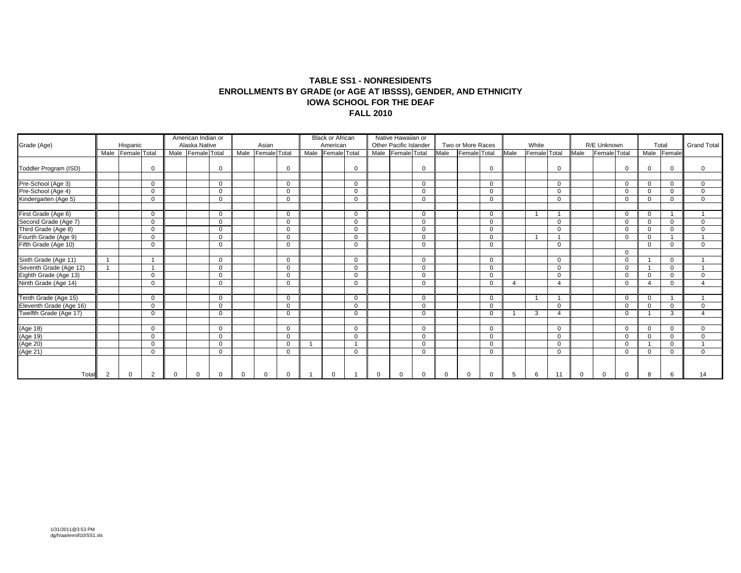#### **TABLE SS1 - NONRESIDENTS ENROLLMENTS BY GRADE (or AGE AT IBSSS), GENDER, AND ETHNICITY IOWA SCHOOL FOR THE DEAF FALL 2010**

| Grade (Age)             |      | Hispanic     |             |          | American Indian or<br>Alaska Native |          |          | Asian             |                | <b>Black or African</b><br>American |             |          | Native Hawaiian or<br>Other Pacific Islander |          |          | Two or More Races   |             |                          | White        |          |             | R/E Unknown  |              |          | Total        | <b>Grand Total</b>      |
|-------------------------|------|--------------|-------------|----------|-------------------------------------|----------|----------|-------------------|----------------|-------------------------------------|-------------|----------|----------------------------------------------|----------|----------|---------------------|-------------|--------------------------|--------------|----------|-------------|--------------|--------------|----------|--------------|-------------------------|
|                         | Male | Female Total |             |          | Male Female Total                   |          |          | Male Female Total |                | Male Female Total                   |             |          | Male Female Total                            |          | Male     | <b>Female</b> Total |             | Male                     | Female Total |          | Male        | Female Total |              | Male     | Female       |                         |
| Toddler Program (ISD)   |      |              | $\mathbf 0$ |          |                                     | $\Omega$ |          |                   | $\mathbf 0$    |                                     | $\mathbf 0$ |          |                                              | $\Omega$ |          |                     | $\mathbf 0$ |                          |              | $\Omega$ |             |              | $\mathbf 0$  | $\Omega$ | 0            | $\Omega$                |
| Pre-School (Age 3)      |      |              | $\Omega$    |          |                                     | $\Omega$ |          |                   | $\mathbf{0}$   |                                     | $\Omega$    |          |                                              | $\Omega$ |          |                     | $\Omega$    |                          |              | $\Omega$ |             |              | $\mathbf 0$  | $\Omega$ | $\mathbf{0}$ | $\Omega$                |
| Pre-School (Age 4)      |      |              | $\mathbf 0$ |          |                                     | $\Omega$ |          |                   | $\mathbf 0$    |                                     | $\mathbf 0$ |          |                                              | $\Omega$ |          |                     | $\mathbf 0$ |                          |              | $\Omega$ |             |              | $\Omega$     | $\Omega$ | $\Omega$     | $\Omega$                |
| Kindergarten (Age 5)    |      |              | $\mathbf 0$ |          |                                     | $\Omega$ |          |                   | $\mathbf 0$    |                                     | $\Omega$    |          |                                              | $\Omega$ |          |                     | $\mathbf 0$ |                          |              | $\Omega$ |             |              | $\mathbf 0$  | $\Omega$ | $\Omega$     | $\Omega$                |
| First Grade (Age 6)     |      |              | $\Omega$    |          |                                     | $\Omega$ |          |                   | $\Omega$       |                                     | $\Omega$    |          |                                              | $\Omega$ |          |                     | $\Omega$    |                          |              |          |             |              | $\Omega$     | $\Omega$ |              |                         |
| Second Grade (Age 7)    |      |              | $\Omega$    |          |                                     | $\Omega$ |          |                   | $\overline{0}$ |                                     | $\Omega$    |          |                                              | $\Omega$ |          |                     | $\Omega$    |                          |              | $\Omega$ |             |              | $\mathbf 0$  | $\Omega$ | $\Omega$     | $\Omega$                |
| Third Grade (Age 8)     |      |              | $\Omega$    |          |                                     | $\Omega$ |          |                   | $\Omega$       |                                     | $\Omega$    |          |                                              | $\Omega$ |          |                     | $\Omega$    |                          |              | $\Omega$ |             |              | $\Omega$     | $\Omega$ | $\Omega$     | $\Omega$                |
| Fourth Grade (Age 9)    |      |              | $\mathbf 0$ |          |                                     | $\Omega$ |          |                   | $\mathbf 0$    |                                     | $\mathbf 0$ |          |                                              | $\Omega$ |          |                     | $\mathbf 0$ |                          |              |          |             |              | $\mathbf 0$  | $\Omega$ |              |                         |
| Fifth Grade (Age 10)    |      |              | $\Omega$    |          |                                     | $\Omega$ |          |                   | $\mathbf 0$    |                                     | $\Omega$    |          |                                              | $\Omega$ |          |                     | $\mathbf 0$ |                          |              | $\Omega$ |             |              |              | $\Omega$ | $\Omega$     | $\Omega$                |
|                         |      |              |             |          |                                     |          |          |                   |                |                                     |             |          |                                              |          |          |                     |             |                          |              |          |             |              | $\mathbf{0}$ |          |              |                         |
| Sixth Grade (Age 11)    |      |              | -1          |          |                                     | $\Omega$ |          |                   | $\mathbf 0$    |                                     | $\Omega$    |          |                                              | $\Omega$ |          |                     | $\mathbf 0$ |                          |              | $\Omega$ |             |              | $\Omega$     |          | $\mathbf 0$  |                         |
| Seventh Grade (Age 12)  |      |              |             |          |                                     | $\Omega$ |          |                   | $\mathbf 0$    |                                     | $\Omega$    |          |                                              | $\Omega$ |          |                     | $\mathbf 0$ |                          |              | $\Omega$ |             |              | $\Omega$     |          | 0            |                         |
| Eighth Grade (Age 13)   |      |              | $\Omega$    |          |                                     | $\Omega$ |          |                   | $\mathbf{0}$   |                                     | $\Omega$    |          |                                              | $\Omega$ |          |                     | $\Omega$    |                          |              | $\Omega$ |             |              | $\Omega$     | $\Omega$ | 0            | $\Omega$                |
| Ninth Grade (Age 14)    |      |              | $\mathbf 0$ |          |                                     | $\Omega$ |          |                   | $\mathbf 0$    |                                     | $\mathbf 0$ |          |                                              | $\Omega$ |          |                     | $\Omega$    | $\boldsymbol{\varDelta}$ |              | Δ        |             |              | $\Omega$     | $\Delta$ | $\Omega$     |                         |
|                         |      |              |             |          |                                     |          |          |                   |                |                                     |             |          |                                              |          |          |                     |             |                          |              |          |             |              |              |          |              |                         |
| Tenth Grade (Age 15)    |      |              | $\Omega$    |          |                                     | $\Omega$ |          |                   | $\Omega$       |                                     | $\Omega$    |          |                                              | $\Omega$ |          |                     | $\Omega$    |                          |              |          |             |              | $\Omega$     | $\Omega$ |              | $\overline{\mathbf{A}}$ |
| Eleventh Grade (Age 16) |      |              | $\mathbf 0$ |          |                                     | $\Omega$ |          |                   | $\mathbf 0$    |                                     | $\mathbf 0$ |          |                                              | $\Omega$ |          |                     | $\mathbf 0$ |                          |              | $\Omega$ |             |              | $\Omega$     | $\Omega$ | 0            | $\Omega$                |
| Twelfth Grade (Age 17)  |      |              | $\Omega$    |          |                                     | $\Omega$ |          |                   | $\Omega$       |                                     | $\Omega$    |          |                                              | $\Omega$ |          |                     | $\Omega$    |                          | 3            |          |             |              | $\Omega$     |          | 3            |                         |
|                         |      |              |             |          |                                     |          |          |                   |                |                                     |             |          |                                              |          |          |                     |             |                          |              |          |             |              |              |          |              |                         |
| (Age 18)                |      |              | $\mathbf 0$ |          |                                     | $\Omega$ |          |                   | $\mathbf 0$    |                                     | $\mathbf 0$ |          |                                              | $\Omega$ |          |                     | $\mathbf 0$ |                          |              | $\Omega$ |             |              | $\Omega$     | $\Omega$ | $\mathbf 0$  | $\Omega$                |
| (Age 19)                |      |              | $\Omega$    |          |                                     | $\Omega$ |          |                   | $\mathbf 0$    |                                     | $\Omega$    |          |                                              | $\Omega$ |          |                     | $\mathbf 0$ |                          |              | $\Omega$ |             |              | $\mathbf 0$  | $\Omega$ | 0            | $\Omega$                |
| (Age 20)                |      |              | $\Omega$    |          |                                     | $\Omega$ |          |                   | $\Omega$       |                                     |             |          |                                              | $\Omega$ |          |                     | $\Omega$    |                          |              | $\Omega$ |             |              | $\Omega$     |          | $\mathbf 0$  |                         |
| (Age 21)                |      |              | $\mathbf 0$ |          |                                     | $\Omega$ |          |                   | $\mathbf 0$    |                                     | $\mathbf 0$ |          |                                              | $\Omega$ |          |                     | $\mathbf 0$ |                          |              | $\Omega$ |             |              | $\Omega$     | $\Omega$ | $\Omega$     | $\Omega$                |
| Total                   | 2    | $\Omega$     | 2           | $\Omega$ | $\Omega$                            | $\Omega$ | $\Omega$ | $\Omega$          | $\mathbf 0$    | 0                                   |             | $\Omega$ | $\mathbf 0$                                  | $\Omega$ | $\Omega$ | $\Omega$            | $\Omega$    | 5                        | 6            | 11       | $\mathbf 0$ | $\Omega$     | $\mathbf 0$  | 8        | 6            | 14                      |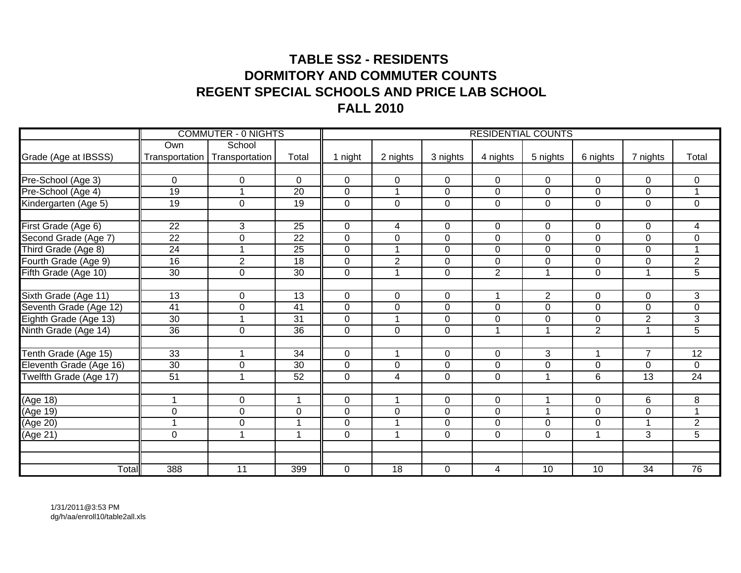# **TABLE SS2 - RESIDENTS DORMITORY AND COMMUTER COUNTSREGENT SPECIAL SCHOOLS AND PRICE LAB SCHOOLFALL 2010**

|                         |                 | <b>COMMUTER - 0 NIGHTS</b> |                 |                |                      |                |                | <b>RESIDENTIAL COUNTS</b> |                |                 |                         |
|-------------------------|-----------------|----------------------------|-----------------|----------------|----------------------|----------------|----------------|---------------------------|----------------|-----------------|-------------------------|
|                         | Own             | School                     |                 |                |                      |                |                |                           |                |                 |                         |
| Grade (Age at IBSSS)    | Transportation  | Transportation             | Total           | 1 night        | 2 nights             | 3 nights       | 4 nights       | 5 nights                  | 6 nights       | 7 nights        | Total                   |
|                         |                 |                            |                 |                |                      |                |                |                           |                |                 |                         |
| Pre-School (Age 3)      | $\mathbf 0$     | $\mathbf 0$                | $\mathbf 0$     | $\mathbf 0$    | $\mathbf 0$          | $\mathbf 0$    | $\mathbf 0$    | $\overline{0}$            | $\mathbf 0$    | 0               | $\mathbf 0$             |
| Pre-School (Age 4)      | 19              | 1                          | $\overline{20}$ | $\overline{0}$ | $\mathbf{1}$         | $\mathbf 0$    | $\mathbf 0$    | $\mathbf 0$               | $\mathbf 0$    | $\mathbf 0$     | $\mathbf{1}$            |
| Kindergarten (Age 5)    | $\overline{19}$ | $\mathbf 0$                | $\overline{19}$ | $\mathbf 0$    | $\mathbf 0$          | $\mathbf 0$    | $\mathbf 0$    | $\overline{0}$            | $\mathbf 0$    | $\mathbf 0$     | $\mathbf 0$             |
| First Grade (Age 6)     | 22              | 3                          | 25              | $\mathbf 0$    | $\overline{4}$       | 0              | $\mathbf 0$    | $\mathbf 0$               | $\mathbf 0$    | 0               | 4                       |
| Second Grade (Age 7)    | $\overline{22}$ | $\mathbf 0$                | $\overline{22}$ | $\mathbf 0$    | $\mathbf 0$          | $\mathbf 0$    | $\mathbf 0$    | $\overline{0}$            | $\mathbf 0$    | 0               | $\mathbf 0$             |
| Third Grade (Age 8)     | $\overline{24}$ | 1                          | $\overline{25}$ | $\overline{0}$ | $\mathbf{1}$         | $\mathbf 0$    | $\mathbf 0$    | $\mathbf 0$               | $\mathbf 0$    | $\mathbf 0$     | $\mathbf 1$             |
| Fourth Grade (Age 9)    | 16              | $\overline{2}$             | $\overline{18}$ | $\Omega$       | $\overline{2}$       | $\mathbf 0$    | $\overline{0}$ | $\mathbf 0$               | $\mathbf 0$    | 0               | $\overline{2}$          |
| Fifth Grade (Age 10)    | 30              | $\mathbf 0$                | 30              | $\mathbf 0$    | $\blacktriangleleft$ | $\mathbf 0$    | $\overline{2}$ | $\mathbf{1}$              | $\mathbf 0$    |                 | 5                       |
|                         |                 |                            |                 |                |                      |                |                |                           |                |                 |                         |
| Sixth Grade (Age 11)    | $\overline{13}$ | 0                          | $\overline{13}$ | $\mathbf 0$    | $\mathsf 0$          | $\mathbf 0$    |                | $\overline{2}$            | $\Omega$       | $\Omega$        | $\overline{3}$          |
| Seventh Grade (Age 12)  | 41              | $\overline{0}$             | $\overline{41}$ | $\Omega$       | $\overline{0}$       | 0              | $\Omega$       | $\overline{0}$            | $\mathbf 0$    | 0               | $\overline{0}$          |
| Eighth Grade (Age 13)   | 30              |                            | 31              | $\Omega$       |                      | 0              | $\Omega$       | $\mathbf 0$               | $\mathbf 0$    | $\overline{2}$  | 3                       |
| Ninth Grade (Age 14)    | 36              | $\mathbf 0$                | 36              | $\mathbf 0$    | $\overline{0}$       | $\overline{0}$ |                | $\mathbf{1}$              | $\overline{2}$ |                 | $\overline{5}$          |
|                         |                 |                            |                 |                |                      |                |                |                           |                |                 |                         |
| Tenth Grade (Age 15)    | 33              | $\overline{1}$             | $\overline{34}$ | $\mathbf 0$    | $\mathbf 1$          | 0              | $\mathbf 0$    | 3                         | 1              | $\overline{7}$  | 12                      |
| Eleventh Grade (Age 16) | 30              | $\mathbf 0$                | 30              | $\mathbf 0$    | $\pmb{0}$            | $\overline{0}$ | $\mathbf 0$    | $\boldsymbol{0}$          | $\mathbf 0$    | 0               | $\pmb{0}$               |
| Twelfth Grade (Age 17)  | $\overline{51}$ | 1                          | $\overline{52}$ | $\mathbf{0}$   | $\overline{4}$       | $\overline{0}$ | $\overline{0}$ | $\mathbf{1}$              | $6\phantom{1}$ | 13              | $\overline{24}$         |
| (Age 18)                | 1               | 0                          | $\overline{1}$  | 0              | $\overline{1}$       | 0              | $\mathbf 0$    | $\mathbf{1}$              | $\mathbf 0$    | 6               | 8                       |
| (Age 19)                | $\mathbf 0$     | $\overline{0}$             | $\mathbf 0$     | $\mathbf 0$    | $\pmb{0}$            | $\mathbf 0$    | $\mathbf 0$    | 1                         | $\mathbf 0$    | 0               | $\overline{\mathbf{A}}$ |
| (Age 20)                | $\mathbf 1$     | $\mathbf 0$                | $\overline{A}$  | $\mathbf 0$    | $\overline{1}$       | $\overline{0}$ | $\overline{0}$ | $\mathbf 0$               | $\mathbf 0$    |                 | $\overline{2}$          |
| (Age 21)                | $\mathbf 0$     | $\overline{1}$             | $\overline{ }$  | $\Omega$       | $\mathbf 1$          | $\mathbf 0$    | $\mathbf 0$    | $\mathbf 0$               | $\mathbf 1$    | $\overline{3}$  | $\overline{5}$          |
|                         |                 |                            |                 |                |                      |                |                |                           |                |                 |                         |
|                         |                 |                            |                 |                |                      |                |                |                           |                |                 |                         |
| Total                   | 388             | $\overline{11}$            | 399             | 0              | $\overline{18}$      | $\mathbf 0$    | 4              | 10                        | 10             | $\overline{34}$ | $\overline{76}$         |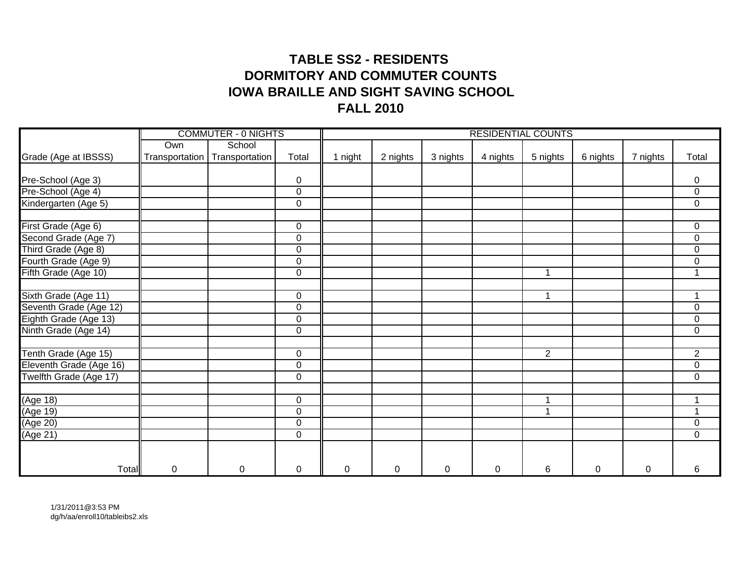## **TABLE SS2 - RESIDENTS DORMITORY AND COMMUTER COUNTSIOWA BRAILLE AND SIGHT SAVING SCHOOL FALL 2010**

|                          |                  | <b>COMMUTER - 0 NIGHTS</b>      |             |         |          |           | <b>RESIDENTIAL COUNTS</b> |                |           |          |                |
|--------------------------|------------------|---------------------------------|-------------|---------|----------|-----------|---------------------------|----------------|-----------|----------|----------------|
|                          | Own              | School                          |             |         |          |           |                           |                |           |          |                |
| Grade (Age at IBSSS)     |                  | Transportation   Transportation | Total       | 1 night | 2 nights | 3 nights  | 4 nights                  | 5 nights       | 6 nights  | 7 nights | Total          |
|                          |                  |                                 |             |         |          |           |                           |                |           |          |                |
| Pre-School (Age 3)       |                  |                                 | $\mathbf 0$ |         |          |           |                           |                |           |          | 0              |
| Pre-School (Age 4)       |                  |                                 | $\pmb{0}$   |         |          |           |                           |                |           |          | $\overline{0}$ |
| Kindergarten (Age 5)     |                  |                                 | $\mathbf 0$ |         |          |           |                           |                |           |          | $\overline{0}$ |
| First Grade (Age 6)      |                  |                                 | 0           |         |          |           |                           |                |           |          | $\mathbf 0$    |
| Second Grade (Age 7)     |                  |                                 | $\pmb{0}$   |         |          |           |                           |                |           |          | $\mathsf 0$    |
| Third Grade (Age 8)      |                  |                                 | $\pmb{0}$   |         |          |           |                           |                |           |          | $\mathsf 0$    |
| Fourth Grade (Age 9)     |                  |                                 | $\pmb{0}$   |         |          |           |                           |                |           |          | $\mathsf 0$    |
| Fifth Grade (Age 10)     |                  |                                 | $\mathbf 0$ |         |          |           |                           | 1              |           |          | 1              |
|                          |                  |                                 |             |         |          |           |                           |                |           |          |                |
| Sixth Grade (Age 11)     |                  |                                 | $\pmb{0}$   |         |          |           |                           | 1              |           |          |                |
| Seventh Grade (Age 12)   |                  |                                 | $\mathbf 0$ |         |          |           |                           |                |           |          | $\mathsf 0$    |
| Eighth Grade (Age 13)    |                  |                                 | $\mathbf 0$ |         |          |           |                           |                |           |          | $\mathbf 0$    |
| Ninth Grade (Age 14)     |                  |                                 | $\pmb{0}$   |         |          |           |                           |                |           |          | $\overline{0}$ |
| Tenth Grade (Age 15)     |                  |                                 | $\mathbf 0$ |         |          |           |                           | $\overline{2}$ |           |          | $\overline{2}$ |
| Eleventh Grade (Age 16)  |                  |                                 | $\mathbf 0$ |         |          |           |                           |                |           |          | $\mathsf 0$    |
| Twelfth Grade (Age 17)   |                  |                                 | $\pmb{0}$   |         |          |           |                           |                |           |          | $\mathsf 0$    |
| (Age 18)                 |                  |                                 | $\mathbf 0$ |         |          |           |                           | 1              |           |          |                |
| (Age 19)                 |                  |                                 | $\mathbf 0$ |         |          |           |                           | 1              |           |          |                |
| $( \overline{Age\ 20} )$ |                  |                                 | $\mathbf 0$ |         |          |           |                           |                |           |          | $\pmb{0}$      |
| (Age 21)                 |                  |                                 | $\mathbf 0$ |         |          |           |                           |                |           |          | $\mathbf 0$    |
|                          |                  |                                 |             |         |          |           |                           |                |           |          |                |
| Total                    | $\boldsymbol{0}$ | $\mathbf 0$                     | $\pmb{0}$   | 0       | 0        | $\pmb{0}$ | 0                         | 6              | $\pmb{0}$ | 0        | 6              |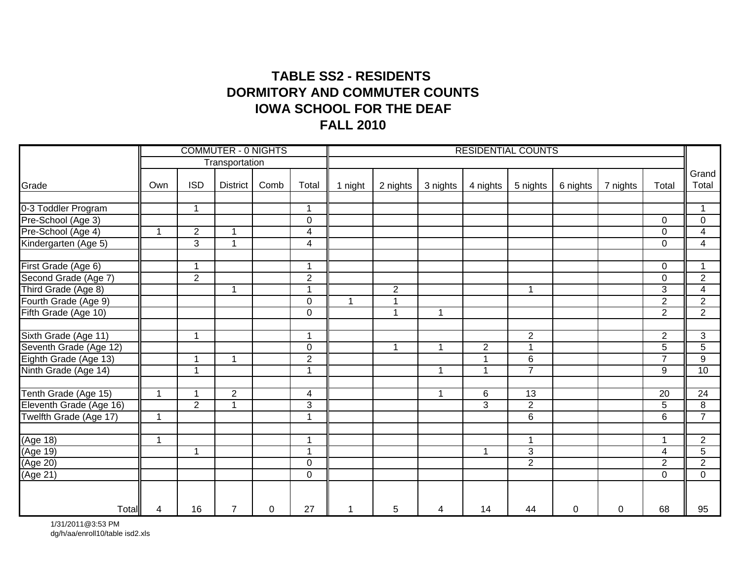## **TABLE SS2 - RESIDENTS IOWA SCHOOL FOR THE DEAFFALL 2010 DORMITORY AND COMMUTER COUNTS**

|                         |                |                          | <b>COMMUTER - 0 NIGHTS</b> |      |                         |         |                |              | <b>RESIDENTIAL COUNTS</b> |                         |             |          |                |                 |
|-------------------------|----------------|--------------------------|----------------------------|------|-------------------------|---------|----------------|--------------|---------------------------|-------------------------|-------------|----------|----------------|-----------------|
|                         |                |                          | Transportation             |      |                         |         |                |              |                           |                         |             |          |                |                 |
| Grade                   | Own            | <b>ISD</b>               | <b>District</b>            | Comb | Total                   | 1 night | 2 nights       | 3 nights     | 4 nights                  | 5 nights                | 6 nights    | 7 nights | Total          | Grand<br>Total  |
| 0-3 Toddler Program     |                | $\overline{\phantom{a}}$ |                            |      | 1                       |         |                |              |                           |                         |             |          |                |                 |
| Pre-School (Age 3)      |                |                          |                            |      | 0                       |         |                |              |                           |                         |             |          | 0              | $\overline{0}$  |
| Pre-School (Age 4)      | $\overline{1}$ | $\overline{2}$           | $\mathbf{1}$               |      | $\overline{\mathbf{4}}$ |         |                |              |                           |                         |             |          | $\Omega$       | $\overline{4}$  |
| Kindergarten (Age 5)    |                | 3                        | 1                          |      | $\overline{\mathbf{4}}$ |         |                |              |                           |                         |             |          | 0              | $\overline{4}$  |
| First Grade (Age 6)     |                | 1                        |                            |      | $\mathbf{1}$            |         |                |              |                           |                         |             |          | 0              |                 |
| Second Grade (Age 7)    |                | $\overline{2}$           |                            |      | $\overline{2}$          |         |                |              |                           |                         |             |          | 0              | $\overline{2}$  |
| Third Grade (Age 8)     |                |                          | 1                          |      | 1                       |         | $\overline{2}$ |              |                           | $\overline{1}$          |             |          | 3              | $\overline{4}$  |
| Fourth Grade (Age 9)    |                |                          |                            |      | 0                       | 1       | $\mathbf{1}$   |              |                           |                         |             |          | $\overline{2}$ | $\overline{2}$  |
| Fifth Grade (Age 10)    |                |                          |                            |      | $\overline{0}$          |         | $\mathbf{1}$   | $\mathbf{1}$ |                           |                         |             |          | $\overline{2}$ | $\overline{2}$  |
| Sixth Grade (Age 11)    |                | 1                        |                            |      | $\mathbf{1}$            |         |                |              |                           | $\overline{2}$          |             |          | $\overline{2}$ | $\overline{3}$  |
| Seventh Grade (Age 12)  |                |                          |                            |      | $\overline{0}$          |         | $\mathbf{1}$   | $\mathbf{1}$ | $\overline{2}$            | $\overline{1}$          |             |          | $\overline{5}$ | $\overline{5}$  |
| Eighth Grade (Age 13)   |                |                          | 1                          |      | $\overline{2}$          |         |                |              | $\overline{ }$            | 6                       |             |          | $\overline{7}$ | $\overline{9}$  |
| Ninth Grade (Age 14)    |                | 1                        |                            |      | 1                       |         |                | $\mathbf 1$  | $\blacktriangleleft$      | $\overline{7}$          |             |          | 9              | $\overline{10}$ |
| Tenth Grade (Age 15)    | -1             | 4                        | $\overline{2}$             |      | $\overline{4}$          |         |                | $\mathbf{1}$ | 6                         | $\overline{13}$         |             |          | 20             | $\overline{24}$ |
| Eleventh Grade (Age 16) |                | $\overline{2}$           | $\mathbf{1}$               |      | 3                       |         |                |              | $\overline{3}$            | $\overline{2}$          |             |          | 5              | 8               |
| Twelfth Grade (Age 17)  | 1              |                          |                            |      | 1                       |         |                |              |                           | $6\phantom{1}6$         |             |          | 6              | $\overline{7}$  |
| (Age 18)                | 1              |                          |                            |      | 1                       |         |                |              |                           | $\overline{\mathbf{1}}$ |             |          |                | $\overline{2}$  |
| (Age 19)                |                | 1                        |                            |      | 1                       |         |                |              | $\overline{1}$            | $\mathbf{3}$            |             |          | 4              | 5               |
| (Age 20)                |                |                          |                            |      | $\mathbf 0$             |         |                |              |                           | $\overline{2}$          |             |          | $\overline{2}$ | $\overline{2}$  |
| (Age 21)                |                |                          |                            |      | 0                       |         |                |              |                           |                         |             |          | $\mathbf 0$    | $\mathbf 0$     |
|                         |                |                          |                            |      |                         |         |                |              |                           |                         |             |          |                |                 |
| Total                   | 4              | 16                       | $\overline{7}$             | 0    | 27                      |         | 5              | 4            | 14                        | 44                      | $\mathbf 0$ | 0        | 68             | 95              |

1/31/2011@3:53 PM dg/h/aa/enroll10/table isd2.xls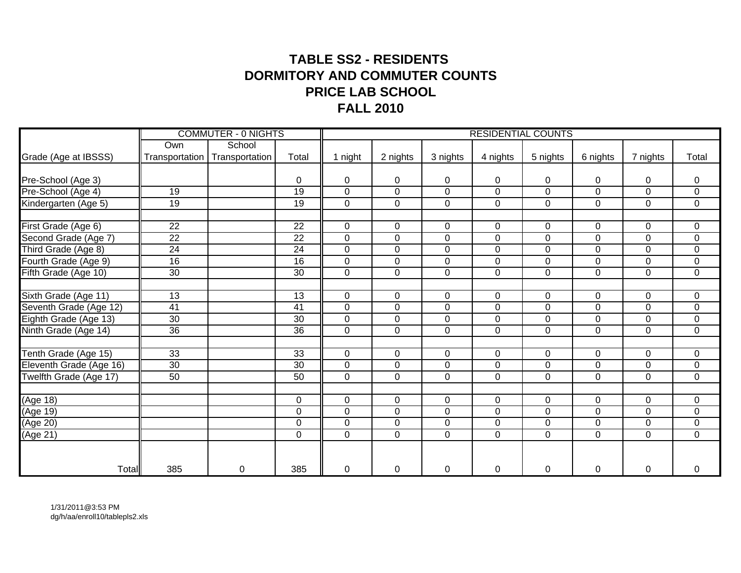## **TABLE SS2 - RESIDENTS DORMITORY AND COMMUTER COUNTSPRICE LAB SCHOOLFALL 2010**

|                               |                 | <b>COMMUTER - 0 NIGHTS</b>      |                 |                |                |                  |                | <b>RESIDENTIAL COUNTS</b> |                |                |                |
|-------------------------------|-----------------|---------------------------------|-----------------|----------------|----------------|------------------|----------------|---------------------------|----------------|----------------|----------------|
|                               | Own             | School                          |                 |                |                |                  |                |                           |                |                |                |
| Grade (Age at IBSSS)          |                 | Transportation   Transportation | Total           | 1 night        | 2 nights       | 3 nights         | 4 nights       | 5 nights                  | 6 nights       | 7 nights       | Total          |
|                               |                 |                                 |                 |                |                |                  |                |                           |                |                |                |
| Pre-School (Age 3)            |                 |                                 | $\Omega$        | $\mathbf{0}$   | 0              | $\mathbf 0$      | 0              | 0                         | 0              | 0              | 0              |
| Pre-School (Age 4)            | 19              |                                 | 19              | $\mathbf 0$    | $\mathsf 0$    | 0                | $\mathbf 0$    | $\mathbf 0$               | $\mathbf 0$    | 0              | $\mathsf 0$    |
| Kindergarten (Age 5)          | $\overline{19}$ |                                 | $\overline{19}$ | $\overline{0}$ | $\mathbf 0$    | $\overline{0}$   | $\mathbf 0$    | $\mathbf 0$               | $\mathbf 0$    | 0              | $\mathbf 0$    |
| First Grade (Age 6)           | 22              |                                 | $\overline{22}$ | $\Omega$       | $\mathbf 0$    | $\mathbf 0$      | $\Omega$       | 0                         | $\mathbf 0$    | $\Omega$       | 0              |
| Second Grade (Age 7)          | $\overline{22}$ |                                 | $\overline{22}$ | $\mathbf 0$    | $\pmb{0}$      | $\mathbf 0$      | $\mathbf 0$    | $\mathbf 0$               | $\mathbf 0$    | $\overline{0}$ | $\pmb{0}$      |
| Third Grade (Age 8)           | 24              |                                 | 24              | $\overline{0}$ | $\mathbf 0$    | 0                | $\mathbf 0$    | $\mathbf 0$               | $\mathbf 0$    | 0              | $\mathsf 0$    |
|                               | 16              |                                 | 16              | $\mathbf 0$    | $\mathsf 0$    | $\boldsymbol{0}$ | $\mathbf 0$    | 0                         | $\pmb{0}$      | 0              | $\mathsf 0$    |
| Fourth Grade (Age 9)          |                 |                                 | 30              |                | $\mathbf 0$    |                  |                |                           |                |                |                |
| Fifth Grade (Age 10)          | 30              |                                 |                 | $\mathbf 0$    |                | $\mathbf 0$      | $\overline{0}$ | $\overline{0}$            | $\mathbf 0$    | 0              | $\mathsf 0$    |
| Sixth Grade (Age 11)          | $\overline{13}$ |                                 | $\overline{13}$ | $\mathbf 0$    | $\mathbf 0$    | $\mathbf 0$      | $\mathbf 0$    | $\overline{0}$            | $\mathbf 0$    | $\overline{0}$ | 0              |
| Seventh Grade (Age 12)        | $\overline{41}$ |                                 | $\overline{41}$ | $\mathbf 0$    | $\overline{0}$ | $\mathbf 0$      | $\mathbf 0$    | $\overline{0}$            | $\mathbf 0$    | 0              | $\mathbf 0$    |
| Eighth Grade (Age 13)         | $\overline{30}$ |                                 | $\overline{30}$ | $\mathbf 0$    | $\mathbf 0$    | $\mathbf 0$      | $\overline{0}$ | 0                         | $\mathbf 0$    | $\mathbf 0$    | $\mathsf 0$    |
| Ninth Grade (Age 14)          | $\overline{36}$ |                                 | 36              | $\mathbf 0$    | $\overline{0}$ | $\overline{0}$   | $\mathbf 0$    | $\overline{0}$            | $\overline{0}$ | 0              | $\overline{0}$ |
|                               |                 |                                 |                 |                |                |                  |                |                           |                |                |                |
| Tenth Grade (Age 15)          | 33              |                                 | $\overline{33}$ | $\Omega$       | $\mathbf 0$    | $\mathbf 0$      | $\mathbf 0$    | $\overline{0}$            | $\mathbf 0$    | 0              | $\mathbf 0$    |
| Eleventh Grade (Age 16)       | 30              |                                 | 30              | $\Omega$       | $\mathbf 0$    | $\mathbf 0$      | $\Omega$       | 0                         | 0              | 0              | 0              |
| <b>Twelfth Grade (Age 17)</b> | 50              |                                 | 50              | $\mathbf 0$    | $\mathbf 0$    | $\mathbf 0$      | $\overline{0}$ | $\mathbf 0$               | $\mathbf 0$    | 0              | $\pmb{0}$      |
| (Age 18)                      |                 |                                 | $\mathbf 0$     | $\mathbf 0$    | $\mathbf 0$    | $\mathbf 0$      | $\mathbf 0$    | $\mathbf 0$               | $\mathbf 0$    | 0              | $\mathbf 0$    |
| (Age 19)                      |                 |                                 | $\mathbf 0$     | $\Omega$       | $\pmb{0}$      | 0                | $\Omega$       | $\mathbf 0$               | $\mathbf 0$    | 0              | $\pmb{0}$      |
| (Age 20)                      |                 |                                 | $\mathbf 0$     | $\mathbf 0$    | $\mathbf 0$    | 0                | $\mathbf 0$    | $\mathbf 0$               | $\mathbf 0$    | 0              | $\mathbf 0$    |
| (Age 21)                      |                 |                                 | $\mathbf 0$     | $\mathbf 0$    | $\pmb{0}$      | $\mathbf 0$      | $\mathbf 0$    | $\mathbf 0$               | $\mathbf 0$    | 0              | $\pmb{0}$      |
|                               |                 |                                 |                 |                |                |                  |                |                           |                |                |                |
| Total                         | 385             | 0                               | 385             | $\Omega$       | $\pmb{0}$      | 0                | 0              | 0                         | $\pmb{0}$      | 0              | 0              |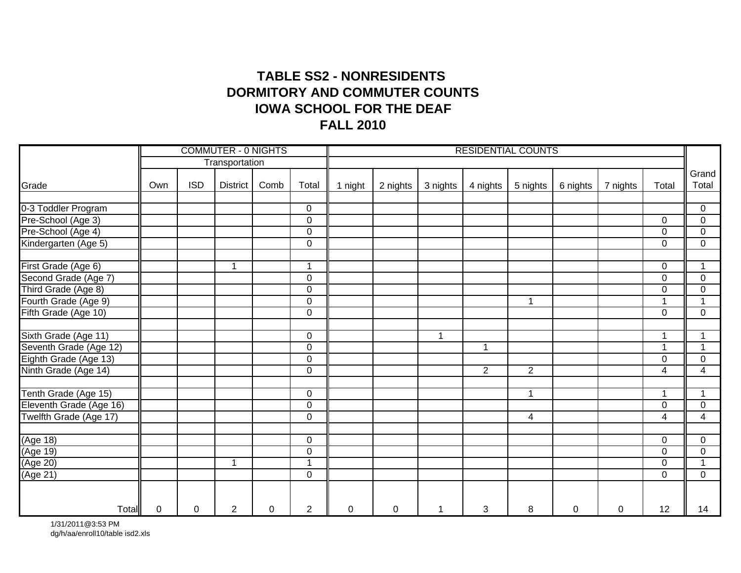## **TABLE SS2 - NONRESIDENTS IOWA SCHOOL FOR THE DEAFFALL 2010 DORMITORY AND COMMUTER COUNTS**

|                                           |             |            | <b>COMMUTER - 0 NIGHTS</b> |          |                |             |             |          | <b>RESIDENTIAL COUNTS</b> |                |             |          |                      |                     |
|-------------------------------------------|-------------|------------|----------------------------|----------|----------------|-------------|-------------|----------|---------------------------|----------------|-------------|----------|----------------------|---------------------|
|                                           |             |            | Transportation             |          |                |             |             |          |                           |                |             |          |                      |                     |
| Grade                                     | Own         | <b>ISD</b> | <b>District</b>            | Comb     | Total          | 1 night     | 2 nights    | 3 nights | 4 nights                  | 5 nights       | 6 nights    | 7 nights | Total                | Grand<br>Total      |
|                                           |             |            |                            |          | $\mathbf 0$    |             |             |          |                           |                |             |          |                      |                     |
| 0-3 Toddler Program<br>Pre-School (Age 3) |             |            |                            |          | $\overline{0}$ |             |             |          |                           |                |             |          | $\Omega$             | 0<br>$\overline{0}$ |
| Pre-School (Age 4)                        |             |            |                            |          | $\overline{0}$ |             |             |          |                           |                |             |          | $\Omega$             | $\mathbf 0$         |
| Kindergarten (Age 5)                      |             |            |                            |          | 0              |             |             |          |                           |                |             |          | 0                    | 0                   |
| First Grade (Age 6)                       |             |            | $\overline{\mathbf{A}}$    |          | $\mathbf{1}$   |             |             |          |                           |                |             |          | $\Omega$             | $\mathbf{1}$        |
| Second Grade (Age 7)                      |             |            |                            |          | 0              |             |             |          |                           |                |             |          | $\Omega$             | $\mathbf 0$         |
| Third Grade (Age 8)                       |             |            |                            |          | 0              |             |             |          |                           |                |             |          | $\Omega$             | $\mathbf 0$         |
| Fourth Grade (Age 9)                      |             |            |                            |          | 0              |             |             |          |                           | $\mathbf 1$    |             |          |                      | 1                   |
| Fifth Grade (Age 10)                      |             |            |                            |          | 0              |             |             |          |                           |                |             |          | 0                    | $\mathbf 0$         |
| Sixth Grade (Age 11)                      |             |            |                            |          | 0              |             |             | 1        |                           |                |             |          | $\blacktriangleleft$ | $\mathbf{1}$        |
| Seventh Grade (Age 12)                    |             |            |                            |          | $\overline{0}$ |             |             |          | 1                         |                |             |          | $\overline{1}$       | $\overline{1}$      |
| Eighth Grade (Age 13)                     |             |            |                            |          | 0              |             |             |          |                           |                |             |          | $\Omega$             | $\mathbf 0$         |
| Ninth Grade (Age 14)                      |             |            |                            |          | 0              |             |             |          | $\overline{2}$            | $\overline{2}$ |             |          | 4                    | $\overline{4}$      |
| Tenth Grade (Age 15)                      |             |            |                            |          | 0              |             |             |          |                           | $\mathbf 1$    |             |          | $\mathbf 1$          | $\mathbf{1}$        |
| Eleventh Grade (Age 16)                   |             |            |                            |          | 0              |             |             |          |                           |                |             |          | $\Omega$             | $\mathbf 0$         |
| Twelfth Grade (Age 17)                    |             |            |                            |          | 0              |             |             |          |                           | $\overline{4}$ |             |          | 4                    | 4                   |
| (Age 18)                                  |             |            |                            |          | 0              |             |             |          |                           |                |             |          | $\Omega$             | 0                   |
| (Age 19)                                  |             |            |                            |          | 0              |             |             |          |                           |                |             |          | $\Omega$             | 0                   |
| (Age 20)                                  |             |            | -1                         |          | $\mathbf{1}$   |             |             |          |                           |                |             |          | $\mathbf 0$          | $\mathbf{1}$        |
| (Age 21)                                  |             |            |                            |          | 0              |             |             |          |                           |                |             |          | $\Omega$             | 0                   |
| Total                                     | $\mathbf 0$ | 0          | $\overline{2}$             | $\Omega$ | $\overline{2}$ | $\mathbf 0$ | $\mathbf 0$ | 1        | 3                         | 8              | $\mathbf 0$ | 0        | 12                   | 14                  |

1/31/2011@3:53 PM dg/h/aa/enroll10/table isd2.xls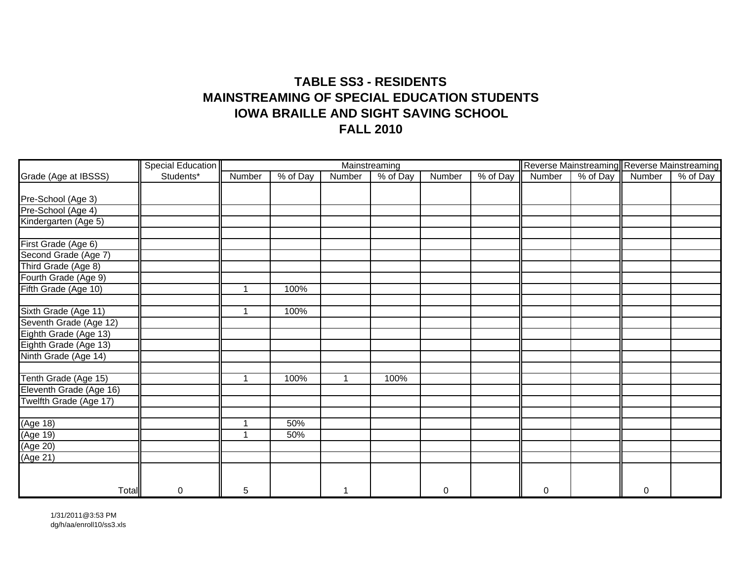### **TABLE SS3 - RESIDENTSMAINSTREAMING OF SPECIAL EDUCATION STUDENTSIOWA BRAILLE AND SIGHT SAVING SCHOOL FALL 2010**

|                         | <b>Special Education</b> |             |                        |                          | Mainstreaming |        |                        |        |                             | Reverse Mainstreaming Reverse Mainstreaming |          |
|-------------------------|--------------------------|-------------|------------------------|--------------------------|---------------|--------|------------------------|--------|-----------------------------|---------------------------------------------|----------|
| Grade (Age at IBSSS)    | Students*                | Number      | $\overline{\%}$ of Day | Number                   | % of Day      | Number | $\overline{\%}$ of Day | Number | $\sqrt{\frac{6}{9}}$ of Day | Number                                      | % of Day |
|                         |                          |             |                        |                          |               |        |                        |        |                             |                                             |          |
| Pre-School (Age 3)      |                          |             |                        |                          |               |        |                        |        |                             |                                             |          |
| Pre-School (Age 4)      |                          |             |                        |                          |               |        |                        |        |                             |                                             |          |
| Kindergarten (Age 5)    |                          |             |                        |                          |               |        |                        |        |                             |                                             |          |
| First Grade (Age 6)     |                          |             |                        |                          |               |        |                        |        |                             |                                             |          |
| Second Grade (Age 7)    |                          |             |                        |                          |               |        |                        |        |                             |                                             |          |
| Third Grade (Age 8)     |                          |             |                        |                          |               |        |                        |        |                             |                                             |          |
| Fourth Grade (Age 9)    |                          |             |                        |                          |               |        |                        |        |                             |                                             |          |
| Fifth Grade (Age 10)    |                          | 1           | 100%                   |                          |               |        |                        |        |                             |                                             |          |
|                         |                          |             |                        |                          |               |        |                        |        |                             |                                             |          |
| Sixth Grade (Age 11)    |                          | 1           | 100%                   |                          |               |        |                        |        |                             |                                             |          |
| Seventh Grade (Age 12)  |                          |             |                        |                          |               |        |                        |        |                             |                                             |          |
| Eighth Grade (Age 13)   |                          |             |                        |                          |               |        |                        |        |                             |                                             |          |
| Eighth Grade (Age 13)   |                          |             |                        |                          |               |        |                        |        |                             |                                             |          |
| Ninth Grade (Age 14)    |                          |             |                        |                          |               |        |                        |        |                             |                                             |          |
|                         |                          |             |                        |                          |               |        |                        |        |                             |                                             |          |
| Tenth Grade (Age 15)    |                          | $\mathbf 1$ | 100%                   | $\overline{\mathbf{1}}$  | 100%          |        |                        |        |                             |                                             |          |
| Eleventh Grade (Age 16) |                          |             |                        |                          |               |        |                        |        |                             |                                             |          |
| Twelfth Grade (Age 17)  |                          |             |                        |                          |               |        |                        |        |                             |                                             |          |
|                         |                          |             |                        |                          |               |        |                        |        |                             |                                             |          |
| (Age 18)                |                          | 1           | 50%                    |                          |               |        |                        |        |                             |                                             |          |
| $\overline{(Age 19)}$   |                          | 1           | 50%                    |                          |               |        |                        |        |                             |                                             |          |
| (Age 20)                |                          |             |                        |                          |               |        |                        |        |                             |                                             |          |
| (Age 21)                |                          |             |                        |                          |               |        |                        |        |                             |                                             |          |
|                         |                          |             |                        |                          |               |        |                        |        |                             |                                             |          |
| Total                   | $\mathbf 0$              | 5           |                        | $\overline{\phantom{a}}$ |               | 0      |                        | 0      |                             | $\pmb{0}$                                   |          |

1/31/2011@3:53 PMdg/h/aa/enroll10/ss3.xls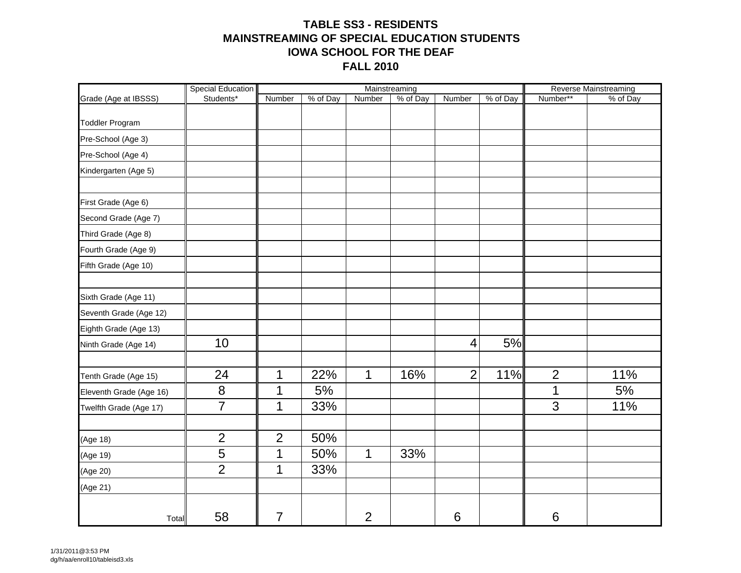#### **TABLE SS3 - RESIDENTSMAINSTREAMING OF SPECIAL EDUCATION STUDENTSIOWA SCHOOL FOR THE DEAFFALL 2010**

|                         | Special Education |                |          |                | Mainstreaming |                 |          |                | <b>Reverse Mainstreaming</b> |
|-------------------------|-------------------|----------------|----------|----------------|---------------|-----------------|----------|----------------|------------------------------|
| Grade (Age at IBSSS)    | Students*         | Number         | % of Day | Number         | % of Day      | Number          | % of Day | Number**       | % of Day                     |
|                         |                   |                |          |                |               |                 |          |                |                              |
| <b>Toddler Program</b>  |                   |                |          |                |               |                 |          |                |                              |
| Pre-School (Age 3)      |                   |                |          |                |               |                 |          |                |                              |
| Pre-School (Age 4)      |                   |                |          |                |               |                 |          |                |                              |
| Kindergarten (Age 5)    |                   |                |          |                |               |                 |          |                |                              |
|                         |                   |                |          |                |               |                 |          |                |                              |
| First Grade (Age 6)     |                   |                |          |                |               |                 |          |                |                              |
| Second Grade (Age 7)    |                   |                |          |                |               |                 |          |                |                              |
| Third Grade (Age 8)     |                   |                |          |                |               |                 |          |                |                              |
| Fourth Grade (Age 9)    |                   |                |          |                |               |                 |          |                |                              |
| Fifth Grade (Age 10)    |                   |                |          |                |               |                 |          |                |                              |
|                         |                   |                |          |                |               |                 |          |                |                              |
| Sixth Grade (Age 11)    |                   |                |          |                |               |                 |          |                |                              |
| Seventh Grade (Age 12)  |                   |                |          |                |               |                 |          |                |                              |
| Eighth Grade (Age 13)   |                   |                |          |                |               |                 |          |                |                              |
| Ninth Grade (Age 14)    | 10                |                |          |                |               | 4               | 5%       |                |                              |
|                         |                   |                |          |                |               |                 |          |                |                              |
| Tenth Grade (Age 15)    | 24                | 1              | 22%      | $\mathbf 1$    | 16%           | $\overline{2}$  | 11%      | $\overline{2}$ | 11%                          |
| Eleventh Grade (Age 16) | $\bf 8$           | 1              | 5%       |                |               |                 |          | 1              | 5%                           |
| Twelfth Grade (Age 17)  | $\overline{7}$    | 1              | 33%      |                |               |                 |          | $\overline{3}$ | 11%                          |
|                         |                   |                |          |                |               |                 |          |                |                              |
| (Age 18)                | $\mathbf{2}$      | $\overline{2}$ | 50%      |                |               |                 |          |                |                              |
| (Age 19)                | 5                 | 1              | 50%      | $\mathbf 1$    | 33%           |                 |          |                |                              |
| (Age 20)                | $\overline{2}$    | 1              | 33%      |                |               |                 |          |                |                              |
| (Age 21)                |                   |                |          |                |               |                 |          |                |                              |
| Total                   | 58                | 7              |          | $\overline{2}$ |               | $6\phantom{1}6$ |          | 6              |                              |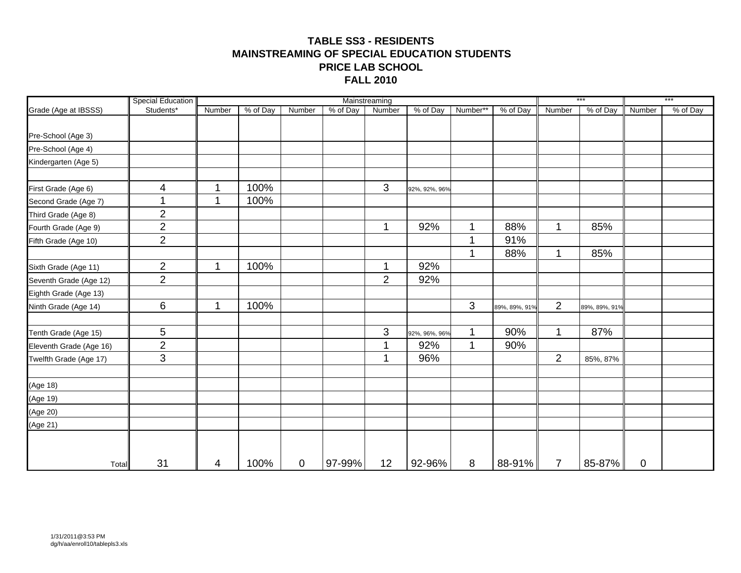#### **TABLE SS3 - RESIDENTSMAINSTREAMING OF SPECIAL EDUCATION STUDENTSPRICE LAB SCHOOL FALL 2010**

|                         | <b>Special Education</b> |        |          |             |                   | Mainstreaming  |               |                |               |                | ***           |             | $***$    |
|-------------------------|--------------------------|--------|----------|-------------|-------------------|----------------|---------------|----------------|---------------|----------------|---------------|-------------|----------|
| Grade (Age at IBSSS)    | Students*                | Number | % of Day | Number      | $\sqrt{8}$ of Day | Number         | % of Day      | Number**       | % of Day      | Number         | % of Day      | Number      | % of Day |
|                         |                          |        |          |             |                   |                |               |                |               |                |               |             |          |
| Pre-School (Age 3)      |                          |        |          |             |                   |                |               |                |               |                |               |             |          |
| Pre-School (Age 4)      |                          |        |          |             |                   |                |               |                |               |                |               |             |          |
| Kindergarten (Age 5)    |                          |        |          |             |                   |                |               |                |               |                |               |             |          |
| First Grade (Age 6)     | $\overline{\mathcal{A}}$ | 1      | 100%     |             |                   | 3              | 92%, 92%, 96% |                |               |                |               |             |          |
| Second Grade (Age 7)    |                          | 1      | 100%     |             |                   |                |               |                |               |                |               |             |          |
| Third Grade (Age 8)     | $\overline{2}$           |        |          |             |                   |                |               |                |               |                |               |             |          |
| Fourth Grade (Age 9)    | $\overline{2}$           |        |          |             |                   | 1              | 92%           | 1              | 88%           | 1              | 85%           |             |          |
| Fifth Grade (Age 10)    | $\overline{2}$           |        |          |             |                   |                |               | 1              | 91%           |                |               |             |          |
|                         |                          |        |          |             |                   |                |               | $\mathbf 1$    | 88%           | 1              | 85%           |             |          |
| Sixth Grade (Age 11)    | $\overline{2}$           | 1      | 100%     |             |                   | 1              | 92%           |                |               |                |               |             |          |
| Seventh Grade (Age 12)  | $\overline{2}$           |        |          |             |                   | $\overline{2}$ | 92%           |                |               |                |               |             |          |
| Eighth Grade (Age 13)   |                          |        |          |             |                   |                |               |                |               |                |               |             |          |
| Ninth Grade (Age 14)    | 6                        | 1      | 100%     |             |                   |                |               | $\mathfrak{S}$ | 89%, 89%, 91% | $\overline{2}$ | 89%, 89%, 91% |             |          |
| Tenth Grade (Age 15)    | 5                        |        |          |             |                   | 3              | 92%, 96%, 96% | 1              | 90%           | 1              | 87%           |             |          |
| Eleventh Grade (Age 16) | $\overline{2}$           |        |          |             |                   | 1              | 92%           | $\mathbf{1}$   | 90%           |                |               |             |          |
| Twelfth Grade (Age 17)  | 3                        |        |          |             |                   | 1              | 96%           |                |               | $\overline{2}$ | 85%, 87%      |             |          |
| (Age 18)                |                          |        |          |             |                   |                |               |                |               |                |               |             |          |
| (Age 19)                |                          |        |          |             |                   |                |               |                |               |                |               |             |          |
| (Age 20)                |                          |        |          |             |                   |                |               |                |               |                |               |             |          |
| (Age 21)                |                          |        |          |             |                   |                |               |                |               |                |               |             |          |
|                         |                          |        |          |             |                   |                |               |                |               |                |               |             |          |
| Total                   | 31                       | 4      | 100%     | $\mathbf 0$ | 97-99%            | 12             | 92-96%        | 8              | $88-91%$      | $\overline{7}$ | 85-87%        | $\mathbf 0$ |          |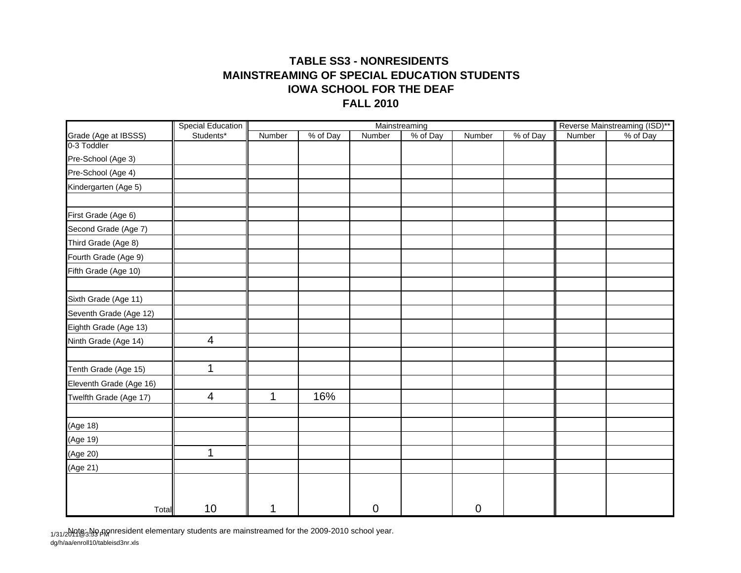#### **TABLE SS3 - NONRESIDENTS MAINSTREAMING OF SPECIAL EDUCATION STUDENTS FALL 2010IOWA SCHOOL FOR THE DEAF**

|                         | <b>Special Education</b> |        |          |        | Mainstreaming |                  |          |        | Reverse Mainstreaming (ISD)** |
|-------------------------|--------------------------|--------|----------|--------|---------------|------------------|----------|--------|-------------------------------|
| Grade (Age at IBSSS)    | Students*                | Number | % of Day | Number | % of Day      | Number           | % of Day | Number | % of Day                      |
| 0-3 Toddler             |                          |        |          |        |               |                  |          |        |                               |
| Pre-School (Age 3)      |                          |        |          |        |               |                  |          |        |                               |
| Pre-School (Age 4)      |                          |        |          |        |               |                  |          |        |                               |
| Kindergarten (Age 5)    |                          |        |          |        |               |                  |          |        |                               |
|                         |                          |        |          |        |               |                  |          |        |                               |
| First Grade (Age 6)     |                          |        |          |        |               |                  |          |        |                               |
| Second Grade (Age 7)    |                          |        |          |        |               |                  |          |        |                               |
| Third Grade (Age 8)     |                          |        |          |        |               |                  |          |        |                               |
| Fourth Grade (Age 9)    |                          |        |          |        |               |                  |          |        |                               |
| Fifth Grade (Age 10)    |                          |        |          |        |               |                  |          |        |                               |
|                         |                          |        |          |        |               |                  |          |        |                               |
| Sixth Grade (Age 11)    |                          |        |          |        |               |                  |          |        |                               |
| Seventh Grade (Age 12)  |                          |        |          |        |               |                  |          |        |                               |
| Eighth Grade (Age 13)   |                          |        |          |        |               |                  |          |        |                               |
| Ninth Grade (Age 14)    | 4                        |        |          |        |               |                  |          |        |                               |
| Tenth Grade (Age 15)    | $\mathbf{1}$             |        |          |        |               |                  |          |        |                               |
| Eleventh Grade (Age 16) |                          |        |          |        |               |                  |          |        |                               |
| Twelfth Grade (Age 17)  | $\overline{4}$           | 1      | 16%      |        |               |                  |          |        |                               |
|                         |                          |        |          |        |               |                  |          |        |                               |
| (Age 18)                |                          |        |          |        |               |                  |          |        |                               |
| (Age 19)                |                          |        |          |        |               |                  |          |        |                               |
| (Age 20)                | 1                        |        |          |        |               |                  |          |        |                               |
| (Age 21)                |                          |        |          |        |               |                  |          |        |                               |
|                         |                          |        |          |        |               |                  |          |        |                               |
| Total                   | 10                       | 1      |          | 0      |               | $\boldsymbol{0}$ |          |        |                               |

<sub>1/31/2</sub>Mqtോழீ3 pM prissident elementary students are mainstreamed for the 2009-2010 school year.

dg/h/aa/enroll10/tableisd3nr.xls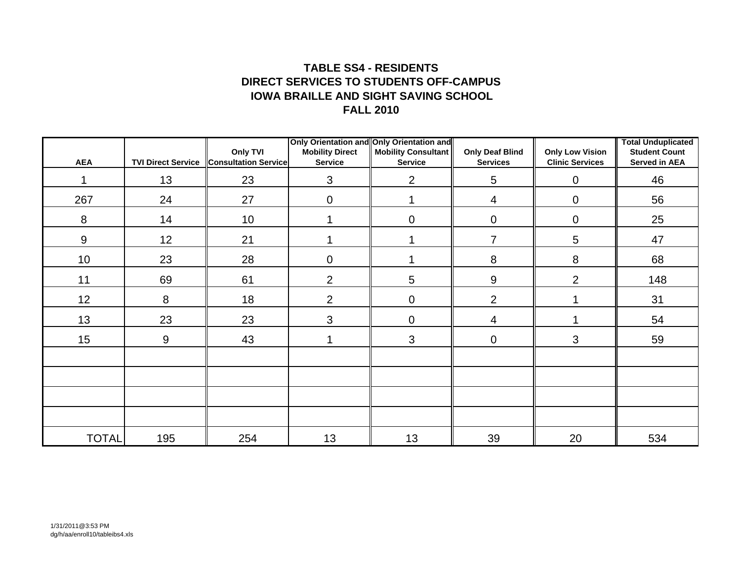#### **TABLE SS4 - RESIDENTSDIRECT SERVICES TO STUDENTS OFF-CAMPUSIOWA BRAILLE AND SIGHT SAVING SCHOOLFALL 2010**

|              |                           | Only TVI                    | <b>Mobility Direct</b> | Only Orientation and Only Orientation and<br><b>Mobility Consultant</b> | <b>Only Deaf Blind</b> | <b>Only Low Vision</b> | <b>Total Unduplicated</b><br><b>Student Count</b> |
|--------------|---------------------------|-----------------------------|------------------------|-------------------------------------------------------------------------|------------------------|------------------------|---------------------------------------------------|
| <b>AEA</b>   | <b>TVI Direct Service</b> | <b>Consultation Service</b> | <b>Service</b>         | <b>Service</b>                                                          | <b>Services</b>        | <b>Clinic Services</b> | <b>Served in AEA</b>                              |
| 1            | 13                        | 23                          | $\mathbf{3}$           | $\overline{2}$                                                          | 5                      | $\mathbf 0$            | 46                                                |
| 267          | 24                        | 27                          | $\mathbf 0$            | 1                                                                       | 4                      | 0                      | 56                                                |
| 8            | 14                        | 10 <sup>°</sup>             |                        | $\mathbf 0$                                                             | $\overline{0}$         | $\mathbf 0$            | 25                                                |
| 9            | 12                        | 21                          |                        | 4                                                                       | $\overline{7}$         | 5                      | 47                                                |
| 10           | 23                        | 28                          | $\pmb{0}$              |                                                                         | 8                      | 8                      | 68                                                |
| 11           | 69                        | 61                          | 2                      | 5                                                                       | 9                      | $\overline{2}$         | 148                                               |
| 12           | 8                         | 18                          | 2                      | $\mathbf 0$                                                             | $\overline{2}$         | 1                      | 31                                                |
| 13           | 23                        | 23                          | $\mathbf{3}$           | $\mathbf 0$                                                             | 4                      |                        | 54                                                |
| 15           | 9                         | 43                          |                        | $\mathbf{3}$                                                            | $\mathbf 0$            | 3                      | 59                                                |
|              |                           |                             |                        |                                                                         |                        |                        |                                                   |
|              |                           |                             |                        |                                                                         |                        |                        |                                                   |
|              |                           |                             |                        |                                                                         |                        |                        |                                                   |
|              |                           |                             |                        |                                                                         |                        |                        |                                                   |
| <b>TOTAL</b> | 195                       | 254                         | 13                     | 13                                                                      | 39                     | 20                     | 534                                               |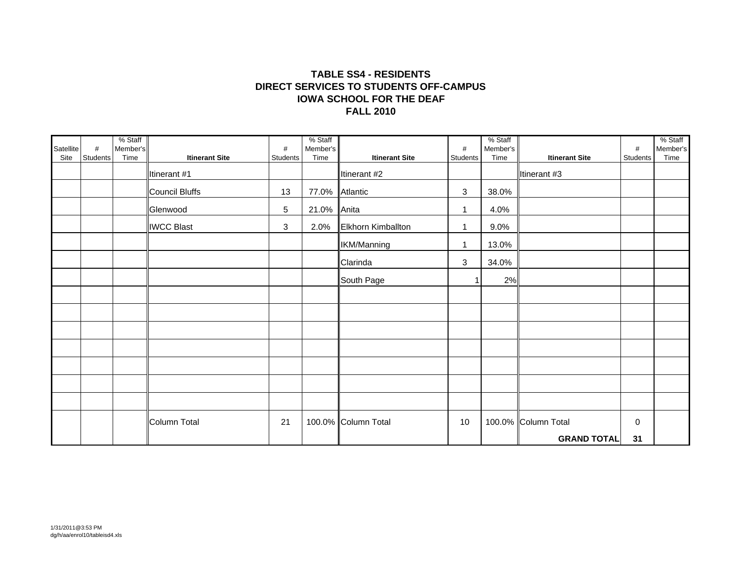#### **TABLE SS4 - RESIDENTS DIRECT SERVICES TO STUDENTS OFF-CAMPUSFALL 2010 IOWA SCHOOL FOR THE DEAF**

| Satellite | #        | % Staff<br>Member's |                       | #        | % Staff<br>Member's |                       | $\#$         | % Staff<br>Member's |                       | $\#$        | % Staff<br>Member's |
|-----------|----------|---------------------|-----------------------|----------|---------------------|-----------------------|--------------|---------------------|-----------------------|-------------|---------------------|
| Site      | Students | Time                | <b>Itinerant Site</b> | Students | Time                | <b>Itinerant Site</b> | Students     | Time                | <b>Itinerant Site</b> | Students    | Time                |
|           |          |                     | Itinerant #1          |          |                     | Itinerant #2          |              |                     | Itinerant #3          |             |                     |
|           |          |                     | Council Bluffs        | 13       | 77.0% Atlantic      |                       | 3            | 38.0%               |                       |             |                     |
|           |          |                     | Glenwood              | 5        | 21.0% Anita         |                       | $\mathbf{1}$ | 4.0%                |                       |             |                     |
|           |          |                     | <b>IWCC Blast</b>     | 3        | 2.0%                | Elkhorn Kimballton    | $\mathbf{1}$ | 9.0%                |                       |             |                     |
|           |          |                     |                       |          |                     | IKM/Manning           | $\mathbf{1}$ | 13.0%               |                       |             |                     |
|           |          |                     |                       |          |                     | Clarinda              | $\mathbf{3}$ | 34.0%               |                       |             |                     |
|           |          |                     |                       |          |                     | South Page            |              | 2%                  |                       |             |                     |
|           |          |                     |                       |          |                     |                       |              |                     |                       |             |                     |
|           |          |                     |                       |          |                     |                       |              |                     |                       |             |                     |
|           |          |                     |                       |          |                     |                       |              |                     |                       |             |                     |
|           |          |                     |                       |          |                     |                       |              |                     |                       |             |                     |
|           |          |                     |                       |          |                     |                       |              |                     |                       |             |                     |
|           |          |                     |                       |          |                     |                       |              |                     |                       |             |                     |
|           |          |                     |                       |          |                     |                       |              |                     |                       |             |                     |
|           |          |                     | Column Total          | 21       |                     | 100.0% Column Total   | 10           |                     | 100.0% Column Total   | $\mathbf 0$ |                     |
|           |          |                     |                       |          |                     |                       |              |                     | <b>GRAND TOTAL</b>    | 31          |                     |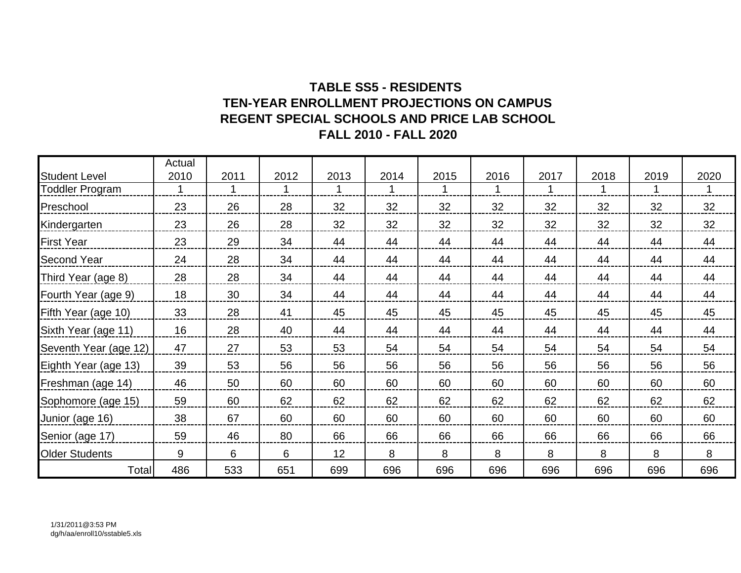### **TABLE SS5 - RESIDENTS TEN-YEAR ENROLLMENT PROJECTIONS ON CAMPUSREGENT SPECIAL SCHOOLS AND PRICE LAB SCHOOL FALL 2010 - FALL 2020**

|                        | Actual |      |      |      |      |      |      |      |      |      |      |
|------------------------|--------|------|------|------|------|------|------|------|------|------|------|
| <b>Student Level</b>   | 2010   | 2011 | 2012 | 2013 | 2014 | 2015 | 2016 | 2017 | 2018 | 2019 | 2020 |
| <b>Toddler Program</b> |        |      |      |      |      |      | 1    |      |      |      |      |
| Preschool              | 23     | 26   | 28   | 32   | 32   | 32   | 32   | 32   | 32   | 32   | 32   |
| Kindergarten           | 23     | 26   | 28   | 32   | 32   | 32   | 32   | 32   | 32   | 32   | 32   |
| <b>First Year</b>      | 23     | 29   | 34   | 44   | 44   | 44   | 44   | 44   | 44   | 44   | 44   |
| <b>Second Year</b>     | 24     | 28   | 34   | 44   | 44   | 44   | 44   | 44   | 44   | 44   | 44   |
| Third Year (age 8)     | 28     | 28   | 34   | 44   | 44   | 44   | 44   | 44   | 44   | 44   | 44   |
| Fourth Year (age 9)    | 18     | 30   | 34   | 44   | 44   | 44   | 44   | 44   | 44   | 44   | 44   |
| Fifth Year (age 10)    | 33     | 28   | 41   | 45   | 45   | 45   | 45   | 45   | 45   | 45   | 45   |
| Sixth Year (age 11)    | 16     | 28   | 40   | 44   | 44   | 44   | 44   | 44   | 44   | 44   | 44   |
| Seventh Year (age 12)  | 47     | 27   | 53   | 53   | 54   | 54   | 54   | 54   | 54   | 54   | 54   |
| Eighth Year (age 13)   | 39     | 53   | 56   | 56   | 56   | 56   | 56   | 56   | 56   | 56   | 56   |
| Freshman (age 14)      | 46     | 50   | 60   | 60   | 60   | 60   | 60   | 60   | 60   | 60   | 60   |
| Sophomore (age 15)     | 59     | 60   | 62   | 62   | 62   | 62   | 62   | 62   | 62   | 62   | 62   |
| Junior (age 16)        | 38     | 67   | 60   | 60   | 60   | 60   | 60   | 60   | 60   | 60   | 60   |
| Senior (age 17)        | 59     | 46   | 80   | 66   | 66   | 66   | 66   | 66   | 66   | 66   | 66   |
| <b>Older Students</b>  | 9      | 6    | 6    | 12   | 8    | 8    | 8    | 8    | 8    | 8    | 8    |
| Total                  | 486    | 533  | 651  | 699  | 696  | 696  | 696  | 696  | 696  | 696  | 696  |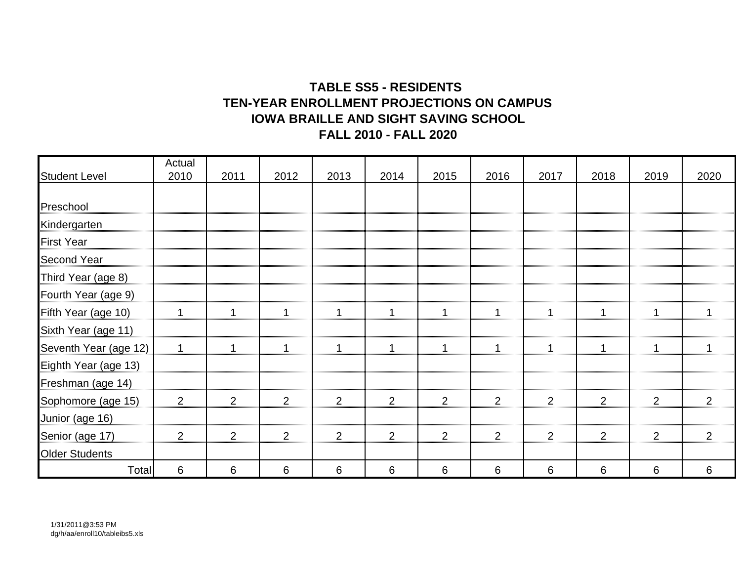### **TABLE SS5 - RESIDENTS TEN-YEAR ENROLLMENT PROJECTIONS ON CAMPUSIOWA BRAILLE AND SIGHT SAVING SCHOOL FALL 2010 - FALL 2020**

|                       | Actual       |                |                |      |      |                |      |      |                |      |                |
|-----------------------|--------------|----------------|----------------|------|------|----------------|------|------|----------------|------|----------------|
| <b>Student Level</b>  | 2010         | 2011           | 2012           | 2013 | 2014 | 2015           | 2016 | 2017 | 2018           | 2019 | 2020           |
|                       |              |                |                |      |      |                |      |      |                |      |                |
| Preschool             |              |                |                |      |      |                |      |      |                |      |                |
| Kindergarten          |              |                |                |      |      |                |      |      |                |      |                |
| <b>First Year</b>     |              |                |                |      |      |                |      |      |                |      |                |
| <b>Second Year</b>    |              |                |                |      |      |                |      |      |                |      |                |
| Third Year (age 8)    |              |                |                |      |      |                |      |      |                |      |                |
| Fourth Year (age 9)   |              |                |                |      |      |                |      |      |                |      |                |
| Fifth Year (age 10)   | 1            |                | -1             | 1    | 1    | -1             | 1    | 1    |                | 1    |                |
| Sixth Year (age 11)   |              |                |                |      |      |                |      |      |                |      |                |
| Seventh Year (age 12) | $\mathbf{1}$ |                |                | 1    |      |                | 1    | 1    |                | 1    |                |
| Eighth Year (age 13)  |              |                |                |      |      |                |      |      |                |      |                |
| Freshman (age 14)     |              |                |                |      |      |                |      |      |                |      |                |
| Sophomore (age 15)    | 2            | $\overline{2}$ | 2              | 2    | 2    | $\overline{2}$ | 2    | 2    | 2              | 2    | $\overline{2}$ |
| Junior (age 16)       |              |                |                |      |      |                |      |      |                |      |                |
| Senior (age 17)       | 2            | $\overline{2}$ | $\overline{2}$ | 2    | 2    | $\overline{2}$ | 2    | 2    | $\overline{2}$ | 2    | 2              |
| <b>Older Students</b> |              |                |                |      |      |                |      |      |                |      |                |
| Total                 | 6            | 6              | 6              | 6    | 6    | 6              | 6    | 6    | 6              | 6    | 6              |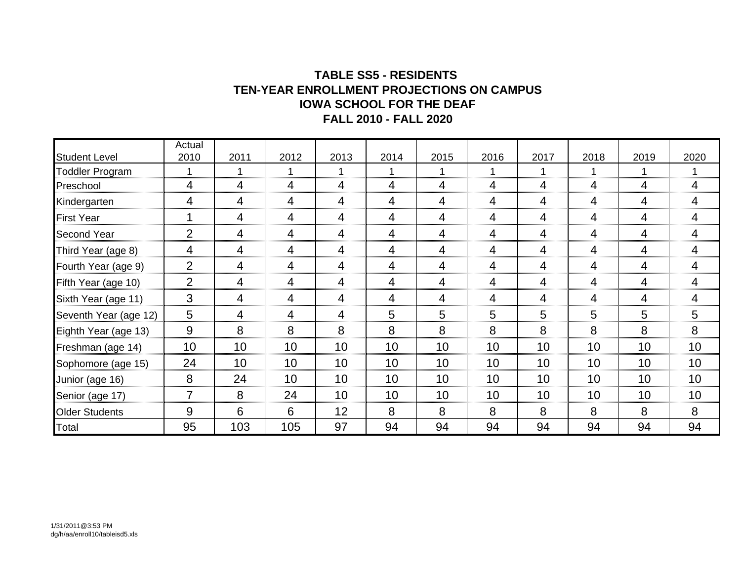#### **TABLE SS5 - RESIDENTS TEN-YEAR ENROLLMENT PROJECTIONS ON CAMPUS IOWA SCHOOL FOR THE DEAF FALL 2010 - FALL 2020**

|                       | Actual         |      |                |                |      |                |                |      |                |                |                 |
|-----------------------|----------------|------|----------------|----------------|------|----------------|----------------|------|----------------|----------------|-----------------|
| <b>Student Level</b>  | 2010           | 2011 | 2012           | 2013           | 2014 | 2015           | 2016           | 2017 | 2018           | 2019           | 2020            |
| Toddler Program       | 1              |      | 1              | 1              |      | 1              | 1              |      | 1              | 1              |                 |
| Preschool             | 4              | 4    | $\overline{4}$ | $\overline{4}$ | 4    | $\overline{4}$ | 4              | 4    | $\overline{4}$ | $\overline{4}$ | $\overline{4}$  |
| Kindergarten          | 4              | 4    | 4              | 4              | 4    | 4              | 4              | 4    | 4              | 4              | 4               |
| <b>First Year</b>     |                | 4    | 4              | 4              | 4    | 4              | 4              | 4    | 4              | 4              | 4               |
| <b>Second Year</b>    | 2              | 4    | $\overline{4}$ | 4              | 4    | 4              | 4              | 4    | 4              | $\overline{4}$ | 4               |
| Third Year (age 8)    | 4              | 4    | 4              | 4              | 4    | 4              | 4              | 4    | 4              | 4              | 4               |
| Fourth Year (age 9)   | $\overline{2}$ | 4    | 4              | 4              | 4    | 4              | $\overline{4}$ | 4    | 4              | 4              | 4               |
| Fifth Year (age 10)   | $\overline{2}$ | 4    | 4              | 4              | 4    | 4              | $\overline{4}$ | 4    | 4              | 4              | 4               |
| Sixth Year (age 11)   | 3              | 4    | 4              | 4              | 4    | 4              | 4              | 4    | 4              | 4              | 4               |
| Seventh Year (age 12) | 5              | 4    | 4              | 4              | 5    | 5              | 5              | 5    | 5              | 5              | $5\phantom{.0}$ |
| Eighth Year (age 13)  | 9              | 8    | 8              | 8              | 8    | 8              | 8              | 8    | 8              | 8              | 8               |
| Freshman (age 14)     | 10             | 10   | 10             | 10             | 10   | 10             | 10             | 10   | 10             | 10             | 10              |
| Sophomore (age 15)    | 24             | 10   | 10             | 10             | 10   | 10             | 10             | 10   | 10             | 10             | 10              |
| Junior (age 16)       | 8              | 24   | 10             | 10             | 10   | 10             | 10             | 10   | 10             | 10             | 10              |
| Senior (age 17)       |                | 8    | 24             | 10             | 10   | 10             | 10             | 10   | 10             | 10             | 10              |
| <b>Older Students</b> | 9              | 6    | 6              | 12             | 8    | 8              | 8              | 8    | 8              | 8              | 8               |
| Total                 | 95             | 103  | 105            | 97             | 94   | 94             | 94             | 94   | 94             | 94             | 94              |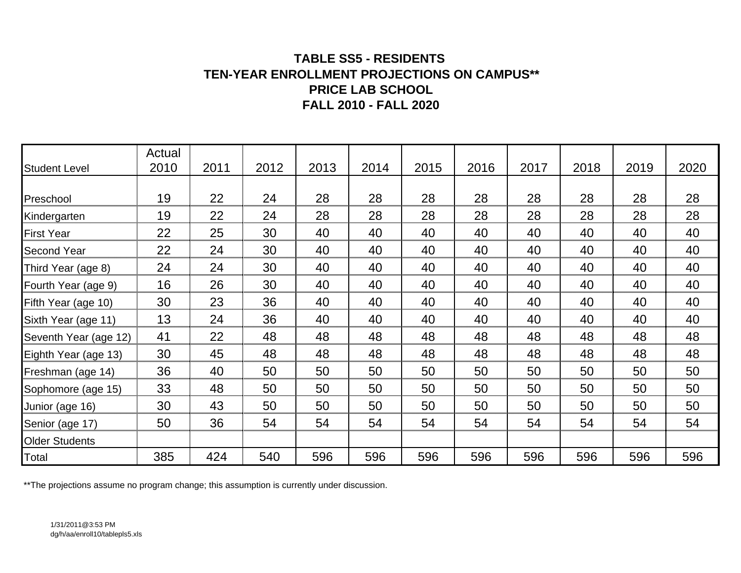### **TABLE SS5 - RESIDENTS TEN-YEAR ENROLLMENT PROJECTIONS ON CAMPUS\*\* PRICE LAB SCHOOLFALL 2010 - FALL 2020**

| <b>Student Level</b>  | Actual<br>2010 | 2011 | 2012 | 2013 | 2014 | 2015 | 2016 | 2017 | 2018 | 2019 | 2020 |
|-----------------------|----------------|------|------|------|------|------|------|------|------|------|------|
|                       |                |      |      |      |      |      |      |      |      |      |      |
| Preschool             | 19             | 22   | 24   | 28   | 28   | 28   | 28   | 28   | 28   | 28   | 28   |
| Kindergarten          | 19             | 22   | 24   | 28   | 28   | 28   | 28   | 28   | 28   | 28   | 28   |
| <b>First Year</b>     | 22             | 25   | 30   | 40   | 40   | 40   | 40   | 40   | 40   | 40   | 40   |
| <b>Second Year</b>    | 22             | 24   | 30   | 40   | 40   | 40   | 40   | 40   | 40   | 40   | 40   |
| Third Year (age 8)    | 24             | 24   | 30   | 40   | 40   | 40   | 40   | 40   | 40   | 40   | 40   |
| Fourth Year (age 9)   | 16             | 26   | 30   | 40   | 40   | 40   | 40   | 40   | 40   | 40   | 40   |
| Fifth Year (age 10)   | 30             | 23   | 36   | 40   | 40   | 40   | 40   | 40   | 40   | 40   | 40   |
| Sixth Year (age 11)   | 13             | 24   | 36   | 40   | 40   | 40   | 40   | 40   | 40   | 40   | 40   |
| Seventh Year (age 12) | 41             | 22   | 48   | 48   | 48   | 48   | 48   | 48   | 48   | 48   | 48   |
| Eighth Year (age 13)  | 30             | 45   | 48   | 48   | 48   | 48   | 48   | 48   | 48   | 48   | 48   |
| Freshman (age 14)     | 36             | 40   | 50   | 50   | 50   | 50   | 50   | 50   | 50   | 50   | 50   |
| Sophomore (age 15)    | 33             | 48   | 50   | 50   | 50   | 50   | 50   | 50   | 50   | 50   | 50   |
| Junior (age 16)       | 30             | 43   | 50   | 50   | 50   | 50   | 50   | 50   | 50   | 50   | 50   |
| Senior (age 17)       | 50             | 36   | 54   | 54   | 54   | 54   | 54   | 54   | 54   | 54   | 54   |
| <b>Older Students</b> |                |      |      |      |      |      |      |      |      |      |      |
| <b>Total</b>          | 385            | 424  | 540  | 596  | 596  | 596  | 596  | 596  | 596  | 596  | 596  |

\*\*The projections assume no program change; this assumption is currently under discussion.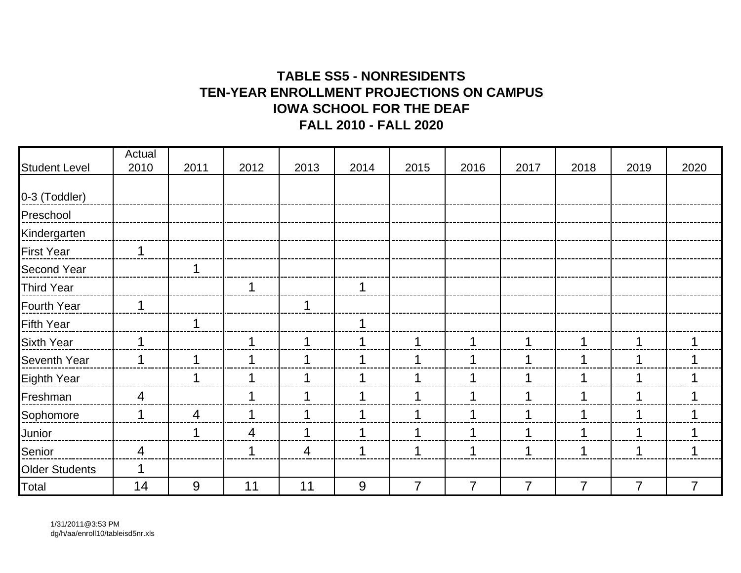# **TABLE SS5 - NONRESIDENTSTEN-YEAR ENROLLMENT PROJECTIONS ON CAMPUSIOWA SCHOOL FOR THE DEAFFALL 2010 - FALL 2020**

|                       | Actual         |      |      |      |      |                |                |                |                |                |                |
|-----------------------|----------------|------|------|------|------|----------------|----------------|----------------|----------------|----------------|----------------|
| <b>Student Level</b>  | 2010           | 2011 | 2012 | 2013 | 2014 | 2015           | 2016           | 2017           | 2018           | 2019           | 2020           |
| 0-3 (Toddler)         |                |      |      |      |      |                |                |                |                |                |                |
| Preschool             |                |      |      |      |      |                |                |                |                |                |                |
| Kindergarten          |                |      |      |      |      |                |                |                |                |                |                |
| <b>First Year</b>     | 1              |      |      |      |      |                |                |                |                |                |                |
| <b>Second Year</b>    |                |      |      |      |      |                |                |                |                |                |                |
| <b>Third Year</b>     |                |      |      |      | 1    |                |                |                |                |                |                |
| <b>Fourth Year</b>    | 1              |      |      | 1    |      |                |                |                |                |                |                |
| <b>Fifth Year</b>     |                |      |      |      | 1    |                |                |                |                |                |                |
| <b>Sixth Year</b>     | 1              |      | 1    |      | 1    |                | 1              |                | 1              |                | 1              |
| <b>Seventh Year</b>   | 1              |      |      |      | 1    |                | 1              |                | $\mathbf 1$    |                | 1              |
| <b>Eighth Year</b>    |                |      | 1    |      | 1    |                | 1              |                | 1              |                | 1              |
| Freshman              | $\overline{4}$ |      | 1    |      | 1    |                | 1              |                | 1              |                | 1              |
| Sophomore             | 1              | 4    |      |      | 1    |                | 1              |                | 1              |                |                |
| Junior                |                |      | 4    |      | 1    |                | 1              |                | 1              |                | 1              |
| Senior                | 4              |      | 1    | 4    | 1    | 1              | 1              | 1              | 1              |                | 1              |
| <b>Older Students</b> |                |      |      |      |      |                |                |                |                |                |                |
| Total                 | 14             | 9    | 11   | 11   | 9    | $\overline{7}$ | $\overline{7}$ | $\overline{7}$ | $\overline{7}$ | $\overline{7}$ | $\overline{7}$ |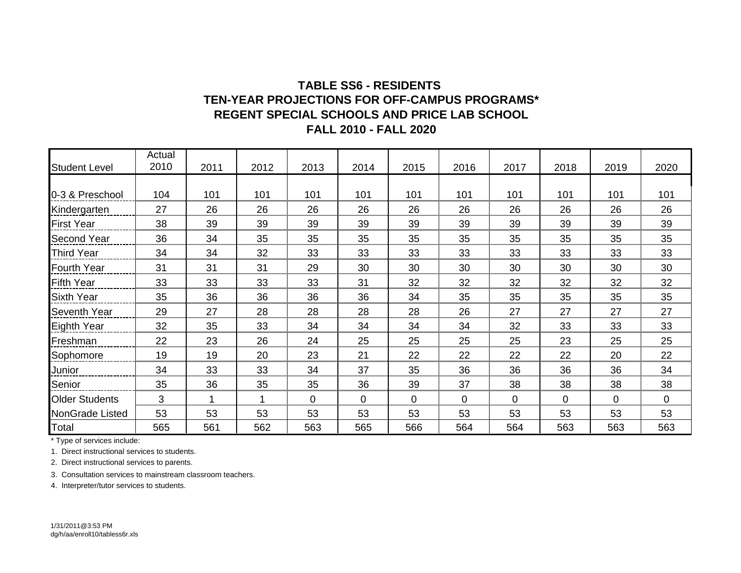#### **TABLE SS6 - RESIDENTS REGENT SPECIAL SCHOOLS AND PRICE LAB SCHOOLTEN-YEAR PROJECTIONS FOR OFF-CAMPUS PROGRAMS\*FALL 2010 - FALL 2020**

| <b>Student Level</b>  | Actual<br>2010 | 2011 | 2012 | 2013        | 2014        | 2015        | 2016 | 2017 | 2018        | 2019           | 2020        |
|-----------------------|----------------|------|------|-------------|-------------|-------------|------|------|-------------|----------------|-------------|
|                       |                |      |      |             |             |             |      |      |             |                |             |
| 0-3 & Preschool       | 104            | 101  | 101  | 101         | 101         | 101         | 101  | 101  | 101         | 101            | 101         |
| Kindergarten          | 27             | 26   | 26   | 26          | 26          | 26          | 26   | 26   | 26          | 26             | 26          |
| <b>First Year</b>     | 38             | 39   | 39   | 39          | 39          | 39          | 39   | 39   | 39          | 39             | 39          |
| <b>Second Year</b>    | 36             | 34   | 35   | 35          | 35          | 35          | 35   | 35   | 35          | 35             | 35          |
| <b>Third Year</b>     | 34             | 34   | 32   | 33          | 33          | 33          | 33   | 33   | 33          | 33             | 33          |
| <b>Fourth Year</b>    | 31             | 31   | 31   | 29          | 30          | 30          | 30   | 30   | 30          | 30             | 30          |
| <b>Fifth Year</b>     | 33             | 33   | 33   | 33          | 31          | 32          | 32   | 32   | 32          | 32             | 32          |
| <b>Sixth Year</b>     | 35             | 36   | 36   | 36          | 36          | 34          | 35   | 35   | 35          | 35             | 35          |
| <b>Seventh Year</b>   | 29             | 27   | 28   | 28          | 28          | 28          | 26   | 27   | 27          | 27             | 27          |
| Eighth Year           | 32             | 35   | 33   | 34          | 34          | 34          | 34   | 32   | 33          | 33             | 33          |
| Freshman              | 22             | 23   | 26   | 24          | 25          | 25          | 25   | 25   | 23          | 25             | 25          |
| Sophomore             | 19             | 19   | 20   | 23          | 21          | 22          | 22   | 22   | 22          | 20             | 22          |
| Junior                | 34             | 33   | 33   | 34          | 37          | 35          | 36   | 36   | 36          | 36             | 34          |
| Senior                | 35             | 36   | 35   | 35          | 36          | 39          | 37   | 38   | 38          | 38             | 38          |
| <b>Older Students</b> | 3              |      |      | $\mathbf 0$ | $\mathbf 0$ | $\mathbf 0$ | 0    | 0    | $\mathbf 0$ | $\overline{0}$ | $\mathbf 0$ |
| NonGrade Listed       | 53             | 53   | 53   | 53          | 53          | 53          | 53   | 53   | 53          | 53             | 53          |
| Total                 | 565            | 561  | 562  | 563         | 565         | 566         | 564  | 564  | 563         | 563            | 563         |

\* Type of services include:

1. Direct instructional services to students.

2. Direct instructional services to parents.

3. Consultation services to mainstream classroom teachers.

4. Interpreter/tutor services to students.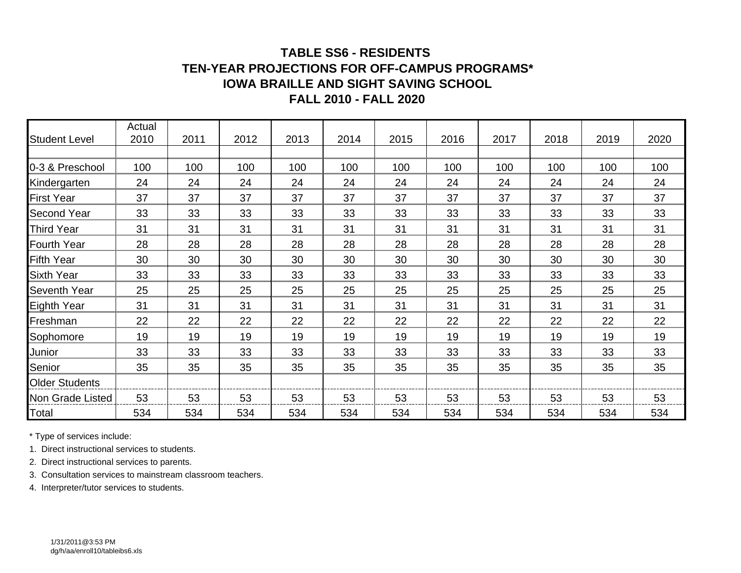#### **TABLE SS6 - RESIDENTS TEN-YEAR PROJECTIONS FOR OFF-CAMPUS PROGRAMS\*IOWA BRAILLE AND SIGHT SAVING SCHOOLFALL 2010 - FALL 2020**

| <b>Student Level</b>  | Actual<br>2010 | 2011 | 2012 | 2013 | 2014 | 2015 | 2016 | 2017 | 2018 | 2019 | 2020 |
|-----------------------|----------------|------|------|------|------|------|------|------|------|------|------|
|                       |                |      |      |      |      |      |      |      |      |      |      |
| 0-3 & Preschool       | 100            | 100  | 100  | 100  | 100  | 100  | 100  | 100  | 100  | 100  | 100  |
| Kindergarten          | 24             | 24   | 24   | 24   | 24   | 24   | 24   | 24   | 24   | 24   | 24   |
| <b>First Year</b>     | 37             | 37   | 37   | 37   | 37   | 37   | 37   | 37   | 37   | 37   | 37   |
| <b>Second Year</b>    | 33             | 33   | 33   | 33   | 33   | 33   | 33   | 33   | 33   | 33   | 33   |
| <b>Third Year</b>     | 31             | 31   | 31   | 31   | 31   | 31   | 31   | 31   | 31   | 31   | 31   |
| <b>Fourth Year</b>    | 28             | 28   | 28   | 28   | 28   | 28   | 28   | 28   | 28   | 28   | 28   |
| <b>Fifth Year</b>     | 30             | 30   | 30   | 30   | 30   | 30   | 30   | 30   | 30   | 30   | 30   |
| <b>Sixth Year</b>     | 33             | 33   | 33   | 33   | 33   | 33   | 33   | 33   | 33   | 33   | 33   |
| Seventh Year          | 25             | 25   | 25   | 25   | 25   | 25   | 25   | 25   | 25   | 25   | 25   |
| Eighth Year           | 31             | 31   | 31   | 31   | 31   | 31   | 31   | 31   | 31   | 31   | 31   |
| Freshman              | 22             | 22   | 22   | 22   | 22   | 22   | 22   | 22   | 22   | 22   | 22   |
| Sophomore             | 19             | 19   | 19   | 19   | 19   | 19   | 19   | 19   | 19   | 19   | 19   |
| Junior                | 33             | 33   | 33   | 33   | 33   | 33   | 33   | 33   | 33   | 33   | 33   |
| Senior                | 35             | 35   | 35   | 35   | 35   | 35   | 35   | 35   | 35   | 35   | 35   |
| <b>Older Students</b> |                |      |      |      |      |      |      |      |      |      |      |
| Non Grade Listed      | 53             | 53   | 53   | 53   | 53   | 53   | 53   | 53   | 53   | 53   | 53   |
| Total                 | 534            | 534  | 534  | 534  | 534  | 534  | 534  | 534  | 534  | 534  | 534  |

\* Type of services include:

1. Direct instructional services to students.

2. Direct instructional services to parents.

3. Consultation services to mainstream classroom teachers.

4. Interpreter/tutor services to students.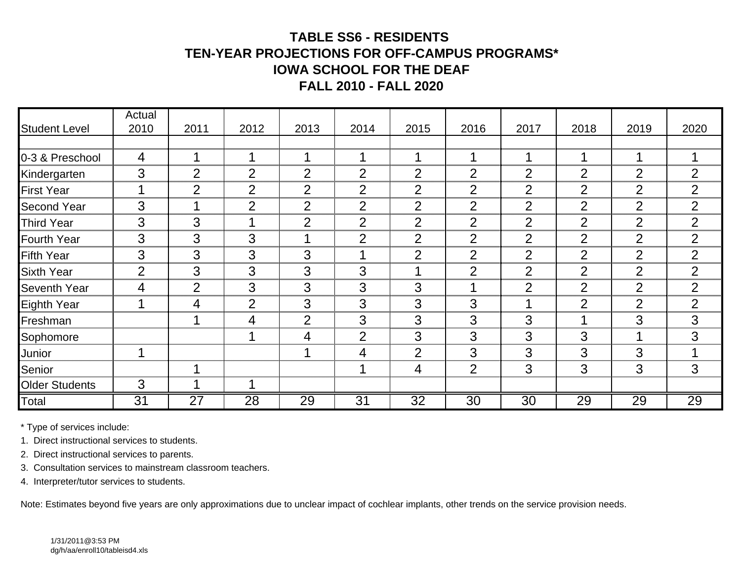# **TABLE SS6 - RESIDENTS TEN-YEAR PROJECTIONS FOR OFF-CAMPUS PROGRAMS\*IOWA SCHOOL FOR THE DEAFFALL 2010 - FALL 2020**

|                       | Actual         |                |                |                |                 |                 |                 |                 |                |                |                |
|-----------------------|----------------|----------------|----------------|----------------|-----------------|-----------------|-----------------|-----------------|----------------|----------------|----------------|
| <b>Student Level</b>  | 2010           | 2011           | 2012           | 2013           | 2014            | 2015            | 2016            | 2017            | 2018           | 2019           | 2020           |
|                       |                |                |                |                |                 |                 |                 |                 |                |                |                |
| 0-3 & Preschool       | 4              |                |                |                |                 | 1               |                 |                 |                | 1              |                |
| Kindergarten          | 3              | $\overline{2}$ | $\overline{2}$ | 2              | $\overline{2}$  | $\overline{2}$  | $\overline{2}$  | $\overline{2}$  | $\overline{2}$ | $\overline{2}$ | $\overline{2}$ |
| <b>First Year</b>     |                | $\overline{2}$ | $\overline{2}$ | $\overline{2}$ | $\overline{2}$  | $\overline{2}$  | $\overline{2}$  | $\overline{2}$  | $\overline{2}$ | $\overline{2}$ | $\overline{2}$ |
| <b>Second Year</b>    | 3              |                | $\overline{2}$ | $\overline{2}$ | $\overline{2}$  | $\overline{2}$  | $\overline{2}$  | $\overline{2}$  | 2              | $\overline{2}$ | $\overline{2}$ |
| <b>Third Year</b>     | 3              | 3              |                | 2              | $\overline{2}$  | $\overline{2}$  | $\overline{2}$  | $\overline{2}$  | $\overline{2}$ | $\overline{2}$ | $\overline{2}$ |
| <b>Fourth Year</b>    | 3              | 3              | 3              |                | $\overline{2}$  | $\overline{2}$  | $\overline{2}$  | $\overline{2}$  | $\overline{2}$ | $\overline{2}$ | $\overline{2}$ |
| <b>Fifth Year</b>     | 3              | 3              | 3              | 3              |                 | $\overline{2}$  | $\overline{2}$  | $\overline{2}$  | $\overline{2}$ | $\overline{2}$ | 2              |
| <b>Sixth Year</b>     | $\overline{2}$ | 3              | 3              | 3              | 3               | ◢               | $\overline{2}$  | $\overline{2}$  | $\overline{2}$ | $\overline{2}$ | $\overline{2}$ |
| <b>Seventh Year</b>   | 4              | $\overline{2}$ | 3              | 3              | 3               | 3               |                 | $\overline{2}$  | $\overline{2}$ | $\overline{2}$ | $\overline{2}$ |
| Eighth Year           |                | 4              | 2              | 3              | 3               | 3               | 3               |                 | $\overline{2}$ | $\overline{2}$ | $\overline{2}$ |
| Freshman              |                |                | 4              | $\mathcal{P}$  | 3               | 3               | 3               | 3               |                | 3              | 3              |
| Sophomore             |                |                |                | 4              | $\overline{2}$  | 3               | 3               | 3               | 3              |                | 3              |
| Junior                |                |                |                |                | 4               | $\overline{2}$  | 3               | 3               | 3              | 3              |                |
| Senior                |                |                |                |                |                 | 4               | $\overline{2}$  | 3               | 3              | 3              | 3              |
| <b>Older Students</b> | 3              |                |                |                |                 |                 |                 |                 |                |                |                |
| Total                 | 31             | 27             | 28             | 29             | $\overline{31}$ | $\overline{32}$ | $\overline{30}$ | $\overline{30}$ | 29             | 29             | 29             |

\* Type of services include:

1. Direct instructional services to students.

2. Direct instructional services to parents.

3. Consultation services to mainstream classroom teachers.

4. Interpreter/tutor services to students.

Note: Estimates beyond five years are only approximations due to unclear impact of cochlear implants, other trends on the service provision needs.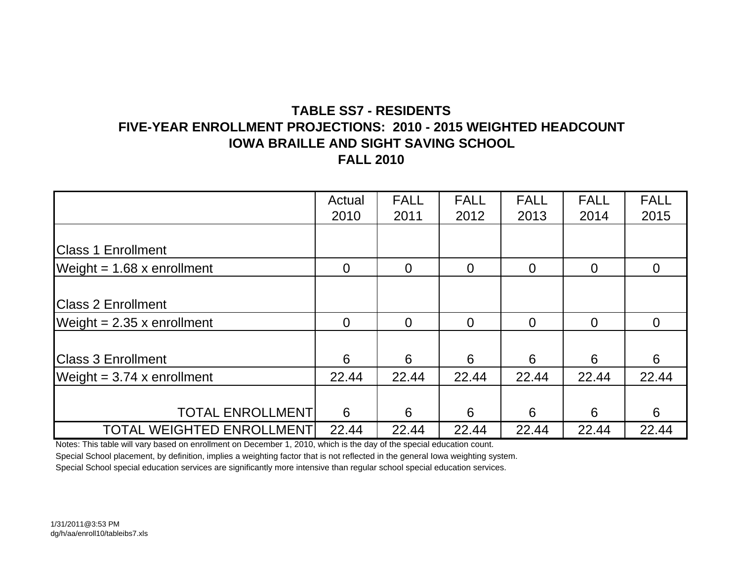## **TABLE SS7 - RESIDENTSFIVE-YEAR ENROLLMENT PROJECTIONS: 2010 - 2015 WEIGHTED HEADCOUNTIOWA BRAILLE AND SIGHT SAVING SCHOOL FALL 2010**

|                                  | Actual         | <b>FALL</b>    | <b>FALL</b> | <b>FALL</b>    | <b>FALL</b> | <b>FALL</b> |
|----------------------------------|----------------|----------------|-------------|----------------|-------------|-------------|
|                                  | 2010           | 2011           | 2012        | 2013           | 2014        | 2015        |
|                                  |                |                |             |                |             |             |
| <b>Class 1 Enrollment</b>        |                |                |             |                |             |             |
| Weight = $1.68$ x enrollment     | $\overline{0}$ | $\overline{0}$ | $\Omega$    | $\overline{0}$ | $\Omega$    | $\Omega$    |
|                                  |                |                |             |                |             |             |
| <b>Class 2 Enrollment</b>        |                |                |             |                |             |             |
| Weight = $2.35$ x enrollment     | $\overline{0}$ | $\overline{0}$ | $\Omega$    | $\Omega$       | $\Omega$    | $\Omega$    |
|                                  |                |                |             |                |             |             |
| <b>Class 3 Enrollment</b>        | 6              | 6              | 6           | 6              | 6           | 6           |
| Weight = $3.74$ x enrollment     | 22.44          | 22.44          | 22.44       | 22.44          | 22.44       | 22.44       |
|                                  |                |                |             |                |             |             |
| <b>TOTAL ENROLLMENT</b>          | 6              | 6              | 6           | 6              | 6           | 6           |
| <b>TOTAL WEIGHTED ENROLLMENT</b> | 22.44          | 22.44          | 22.44       | 22.44          | 22.44       | 22.44       |

Notes: This table will vary based on enrollment on December 1, 2010, which is the day of the special education count. Special School placement, by definition, implies a weighting factor that is not reflected in the general Iowa weighting system. Special School special education services are significantly more intensive than regular school special education services.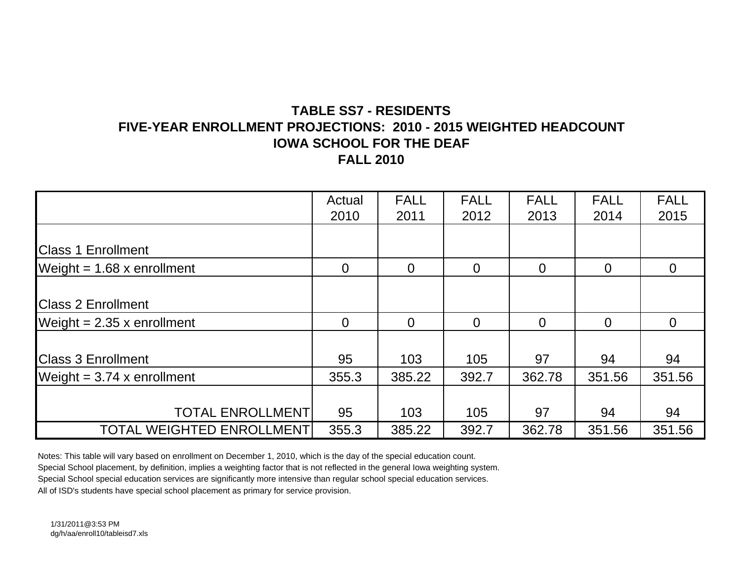# **TABLE SS7 - RESIDENTSFIVE-YEAR ENROLLMENT PROJECTIONS: 2010 - 2015 WEIGHTED HEADCOUNTIOWA SCHOOL FOR THE DEAFFALL 2010**

|                                  | Actual   | <b>FALL</b>    | <b>FALL</b> | <b>FALL</b>    | <b>FALL</b>    | <b>FALL</b>    |
|----------------------------------|----------|----------------|-------------|----------------|----------------|----------------|
|                                  | 2010     | 2011           | 2012        | 2013           | 2014           | 2015           |
|                                  |          |                |             |                |                |                |
| <b>Class 1 Enrollment</b>        |          |                |             |                |                |                |
| Weight = $1.68$ x enrollment     | $\Omega$ | $\overline{0}$ | $\Omega$    | $\overline{0}$ | $\overline{0}$ | $\overline{0}$ |
|                                  |          |                |             |                |                |                |
| <b>Class 2 Enrollment</b>        |          |                |             |                |                |                |
| Weight = $2.35$ x enrollment     | $\Omega$ | $\overline{0}$ | $\Omega$    | $\overline{0}$ | $\overline{0}$ | $\overline{0}$ |
|                                  |          |                |             |                |                |                |
| <b>Class 3 Enrollment</b>        | 95       | 103            | 105         | 97             | 94             | 94             |
| Weight = $3.74$ x enrollment     | 355.3    | 385.22         | 392.7       | 362.78         | 351.56         | 351.56         |
|                                  |          |                |             |                |                |                |
| <b>TOTAL ENROLLMENT</b>          | 95       | 103            | 105         | 97             | 94             | 94             |
| <b>TOTAL WEIGHTED ENROLLMENT</b> | 355.3    | 385.22         | 392.7       | 362.78         | 351.56         | 351.56         |

Notes: This table will vary based on enrollment on December 1, 2010, which is the day of the special education count.

Special School placement, by definition, implies a weighting factor that is not reflected in the general Iowa weighting system.

Special School special education services are significantly more intensive than regular school special education services.

All of ISD's students have special school placement as primary for service provision.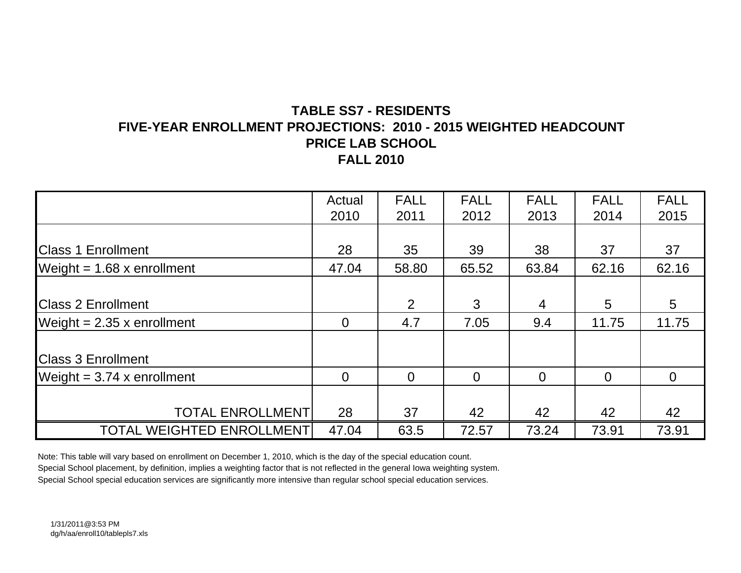# **TABLE SS7 - RESIDENTSFIVE-YEAR ENROLLMENT PROJECTIONS: 2010 - 2015 WEIGHTED HEADCOUNTPRICE LAB SCHOOLFALL 2010**

|                                  | Actual         | <b>FALL</b>    | <b>FALL</b> | <b>FALL</b>    | <b>FALL</b>    | <b>FALL</b> |
|----------------------------------|----------------|----------------|-------------|----------------|----------------|-------------|
|                                  | 2010           | 2011           | 2012        | 2013           | 2014           | 2015        |
|                                  |                |                |             |                |                |             |
| <b>Class 1 Enrollment</b>        | 28             | 35             | 39          | 38             | 37             | 37          |
| Weight = $1.68$ x enrollment     | 47.04          | 58.80          | 65.52       | 63.84          | 62.16          | 62.16       |
|                                  |                |                |             |                |                |             |
| <b>Class 2 Enrollment</b>        |                | $\overline{2}$ | 3           | $\overline{4}$ | 5              | 5           |
| Weight = $2.35$ x enrollment     | $\overline{0}$ | 4.7            | 7.05        | 9.4            | 11.75          | 11.75       |
|                                  |                |                |             |                |                |             |
| <b>Class 3 Enrollment</b>        |                |                |             |                |                |             |
| Weight = $3.74$ x enrollment     | $\Omega$       | $\Omega$       | $\Omega$    | $\Omega$       | $\overline{0}$ | $\Omega$    |
|                                  |                |                |             |                |                |             |
| <b>TOTAL ENROLLMENT</b>          | 28             | 37             | 42          | 42             | 42             | 42          |
| <b>TOTAL WEIGHTED ENROLLMENT</b> | 47.04          | 63.5           | 72.57       | 73.24          | 73.91          | 73.91       |

Note: This table will vary based on enrollment on December 1, 2010, which is the day of the special education count. Special School placement, by definition, implies a weighting factor that is not reflected in the general Iowa weighting system. Special School special education services are significantly more intensive than regular school special education services.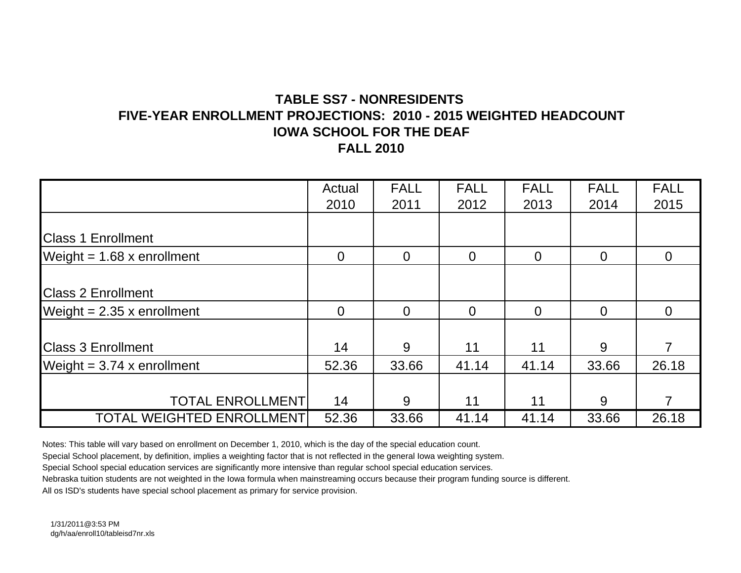## **TABLE SS7 - NONRESIDENTS FIVE-YEAR ENROLLMENT PROJECTIONS: 2010 - 2015 WEIGHTED HEADCOUNTIOWA SCHOOL FOR THE DEAFFALL 2010**

|                                  | Actual         | <b>FALL</b> | <b>FALL</b>    | <b>FALL</b>    | <b>FALL</b>    | <b>FALL</b>    |
|----------------------------------|----------------|-------------|----------------|----------------|----------------|----------------|
|                                  | 2010           | 2011        | 2012           | 2013           | 2014           | 2015           |
|                                  |                |             |                |                |                |                |
| <b>Class 1 Enrollment</b>        |                |             |                |                |                |                |
| Weight = $1.68$ x enrollment     | $\overline{0}$ | $\Omega$    | $\overline{0}$ | $\overline{0}$ | $\overline{0}$ | $\overline{0}$ |
|                                  |                |             |                |                |                |                |
| <b>Class 2 Enrollment</b>        |                |             |                |                |                |                |
| Weight = $2.35$ x enrollment     | $\Omega$       | $\Omega$    | $\Omega$       | $\Omega$       | $\overline{0}$ | 0              |
|                                  |                |             |                |                |                |                |
| <b>Class 3 Enrollment</b>        | 14             | 9           | 11             | 11             | 9              | 7              |
| Weight = $3.74$ x enrollment     | 52.36          | 33.66       | 41.14          | 41.14          | 33.66          | 26.18          |
|                                  |                |             |                |                |                |                |
| <b>TOTAL ENROLLMENT</b>          | 14             | 9           | 11             | 11             | 9              | 7              |
| <b>TOTAL WEIGHTED ENROLLMENT</b> | 52.36          | 33.66       | 41.14          | 41.14          | 33.66          | 26.18          |

Notes: This table will vary based on enrollment on December 1, 2010, which is the day of the special education count.

Special School placement, by definition, implies a weighting factor that is not reflected in the general Iowa weighting system.

Special School special education services are significantly more intensive than regular school special education services.

Nebraska tuition students are not weighted in the Iowa formula when mainstreaming occurs because their program funding source is different.

All os ISD's students have special school placement as primary for service provision.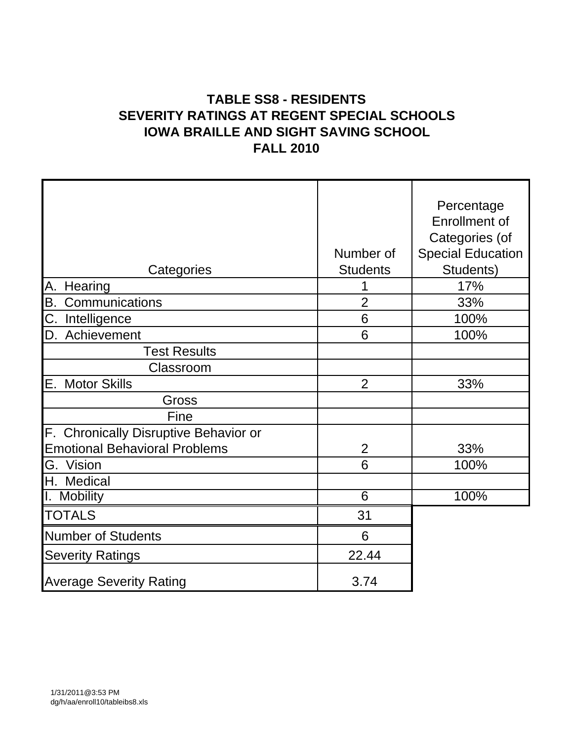# **TABLE SS8 - RESIDENTS SEVERITY RATINGS AT REGENT SPECIAL SCHOOLS IOWA BRAILLE AND SIGHT SAVING SCHOOL FALL 2010**

|                                       |                 | Percentage               |
|---------------------------------------|-----------------|--------------------------|
|                                       |                 | <b>Enrollment of</b>     |
|                                       |                 | Categories (of           |
|                                       | Number of       | <b>Special Education</b> |
| Categories                            | <b>Students</b> | Students)                |
| Hearing<br>Α.                         |                 | 17%                      |
| B.<br>Communications                  | $\overline{2}$  | 33%                      |
| $\overline{C}$ .<br>Intelligence      | 6               | 100%                     |
| Achievement<br>ID.                    | 6               | 100%                     |
| <b>Test Results</b>                   |                 |                          |
| Classroom                             |                 |                          |
| E.<br><b>Motor Skills</b>             | $\overline{2}$  | 33%                      |
| Gross                                 |                 |                          |
| Fine                                  |                 |                          |
| F. Chronically Disruptive Behavior or |                 |                          |
| <b>Emotional Behavioral Problems</b>  | $\overline{2}$  | 33%                      |
| G. Vision                             | 6               | 100%                     |
| H.<br>Medical                         |                 |                          |
| Τ.<br><b>Mobility</b>                 | 6               | 100%                     |
| <b>TOTALS</b>                         | 31              |                          |
| <b>Number of Students</b>             | 6               |                          |
| <b>Severity Ratings</b>               | 22.44           |                          |
| <b>Average Severity Rating</b>        | 3.74            |                          |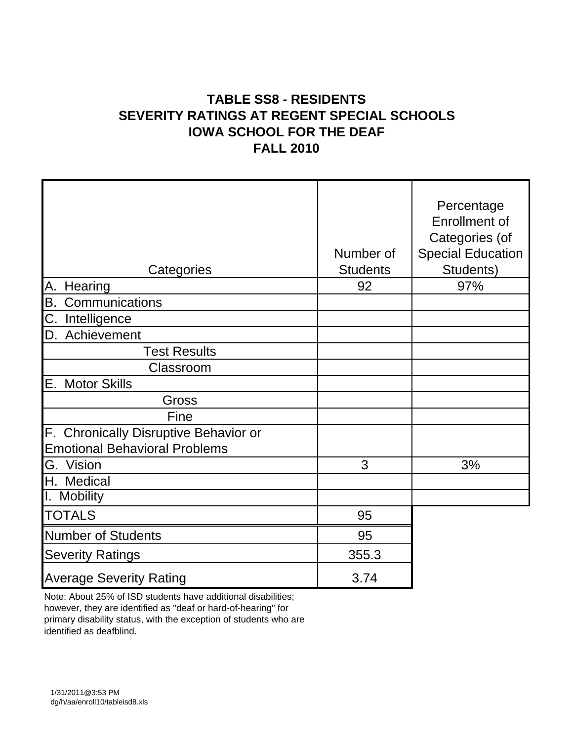# **TABLE SS8 - RESIDENTS SEVERITY RATINGS AT REGENT SPECIAL SCHOOLS IOWA SCHOOL FOR THE DEAF FALL 2010**

| Categories                                                                    | Number of<br><b>Students</b> | Percentage<br><b>Enrollment of</b><br>Categories (of<br><b>Special Education</b><br>Students) |
|-------------------------------------------------------------------------------|------------------------------|-----------------------------------------------------------------------------------------------|
| А.<br>Hearing                                                                 | 92                           | 97%                                                                                           |
| В.<br>Communications                                                          |                              |                                                                                               |
| C. Intelligence                                                               |                              |                                                                                               |
| D. Achievement                                                                |                              |                                                                                               |
| <b>Test Results</b>                                                           |                              |                                                                                               |
| Classroom                                                                     |                              |                                                                                               |
| Е.<br><b>Motor Skills</b>                                                     |                              |                                                                                               |
| Gross                                                                         |                              |                                                                                               |
| Fine                                                                          |                              |                                                                                               |
| F. Chronically Disruptive Behavior or<br><b>Emotional Behavioral Problems</b> |                              |                                                                                               |
| G. Vision                                                                     | 3                            | 3%                                                                                            |
| H. Medical                                                                    |                              |                                                                                               |
| I. Mobility                                                                   |                              |                                                                                               |
| <b>TOTALS</b>                                                                 | 95                           |                                                                                               |
| <b>Number of Students</b>                                                     | 95                           |                                                                                               |
| <b>Severity Ratings</b>                                                       | 355.3                        |                                                                                               |
| <b>Average Severity Rating</b>                                                | 3.74                         |                                                                                               |

Note: About 25% of ISD students have additional disabilities; however, they are identified as "deaf or hard-of-hearing" for primary disability status, with the exception of students who are identified as deafblind.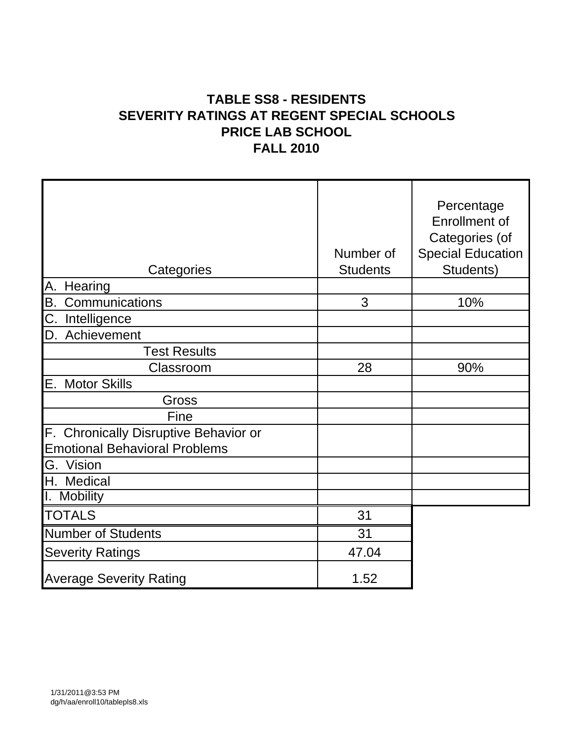# **TABLE SS8 - RESIDENTS SEVERITY RATINGS AT REGENT SPECIAL SCHOOLS PRICE LAB SCHOOL FALL 2010**

| Categories                                                                    | Number of<br><b>Students</b> | Percentage<br><b>Enrollment of</b><br>Categories (of<br><b>Special Education</b><br>Students) |
|-------------------------------------------------------------------------------|------------------------------|-----------------------------------------------------------------------------------------------|
| A.<br>Hearing                                                                 |                              |                                                                                               |
| B.<br>Communications                                                          | 3                            | 10%                                                                                           |
| C.<br>Intelligence                                                            |                              |                                                                                               |
| Achievement<br>D.                                                             |                              |                                                                                               |
| <b>Test Results</b>                                                           |                              |                                                                                               |
| Classroom                                                                     | 28                           | 90%                                                                                           |
| E.<br><b>Motor Skills</b>                                                     |                              |                                                                                               |
| Gross                                                                         |                              |                                                                                               |
| Fine                                                                          |                              |                                                                                               |
| F. Chronically Disruptive Behavior or<br><b>Emotional Behavioral Problems</b> |                              |                                                                                               |
| Vision<br>G.                                                                  |                              |                                                                                               |
| H. Medical                                                                    |                              |                                                                                               |
| I. Mobility                                                                   |                              |                                                                                               |
| <b>TOTALS</b>                                                                 | 31                           |                                                                                               |
| <b>Number of Students</b>                                                     | 31                           |                                                                                               |
| <b>Severity Ratings</b>                                                       | 47.04                        |                                                                                               |
| <b>Average Severity Rating</b>                                                | 1.52                         |                                                                                               |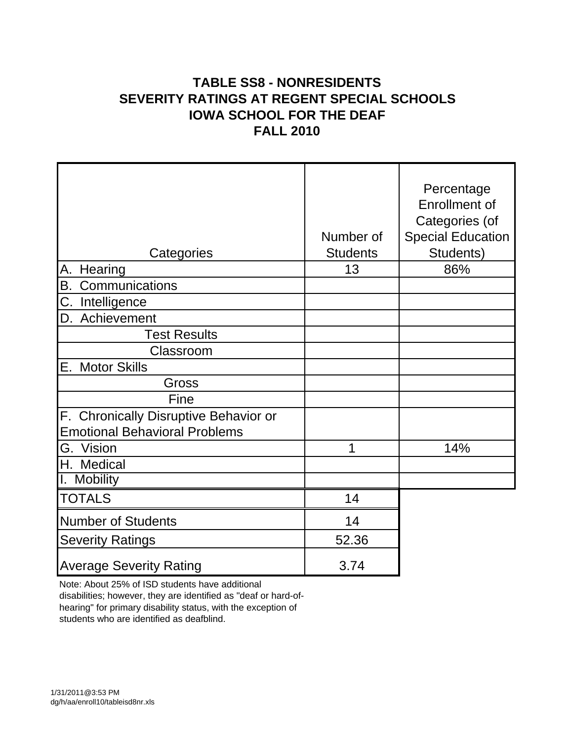# **TABLE SS8 - NONRESIDENTS SEVERITY RATINGS AT REGENT SPECIAL SCHOOLS IOWA SCHOOL FOR THE DEAF FALL 2010**

|                                                                               |                 | Percentage<br>Enrollment of<br>Categories (of |
|-------------------------------------------------------------------------------|-----------------|-----------------------------------------------|
|                                                                               | Number of       | <b>Special Education</b>                      |
| Categories                                                                    | <b>Students</b> | Students)                                     |
| А.<br>Hearing                                                                 | 13              | 86%                                           |
| $\overline{B}$ .<br>Communications                                            |                 |                                               |
| C.<br>Intelligence                                                            |                 |                                               |
| Achievement<br>D.                                                             |                 |                                               |
| <b>Test Results</b>                                                           |                 |                                               |
| Classroom                                                                     |                 |                                               |
| Е.<br><b>Motor Skills</b>                                                     |                 |                                               |
| Gross                                                                         |                 |                                               |
| Fine                                                                          |                 |                                               |
| F. Chronically Disruptive Behavior or<br><b>Emotional Behavioral Problems</b> |                 |                                               |
| G. Vision                                                                     | 1               | 14%                                           |
| H. Medical                                                                    |                 |                                               |
| <b>Mobility</b><br>Ι.                                                         |                 |                                               |
| <b>TOTALS</b>                                                                 | 14              |                                               |
| <b>Number of Students</b>                                                     | 14              |                                               |
| <b>Severity Ratings</b>                                                       | 52.36           |                                               |
| <b>Average Severity Rating</b>                                                | 3.74            |                                               |

Note: About 25% of ISD students have additional disabilities; however, they are identified as "deaf or hard-ofhearing" for primary disability status, with the exception of

students who are identified as deafblind.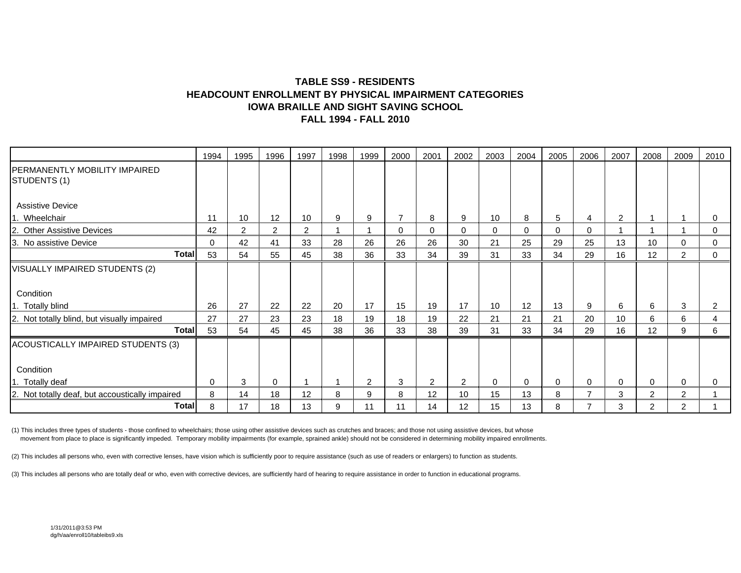#### **TABLE SS9 - RESIDENTSHEADCOUNT ENROLLMENT BY PHYSICAL IMPAIRMENT CATEGORIESIOWA BRAILLE AND SIGHT SAVING SCHOOLFALL 1994 - FALL 2010**

|                                                     | 1994 | 1995           | 1996 | 1997           | 1998 | 1999 | 2000           | 2001           | 2002            | 2003        | 2004     | 2005 | 2006           | 2007 | 2008           | 2009           | 2010 |
|-----------------------------------------------------|------|----------------|------|----------------|------|------|----------------|----------------|-----------------|-------------|----------|------|----------------|------|----------------|----------------|------|
| PERMANENTLY MOBILITY IMPAIRED<br>STUDENTS (1)       |      |                |      |                |      |      |                |                |                 |             |          |      |                |      |                |                |      |
| <b>Assistive Device</b>                             |      |                |      |                |      |      |                |                |                 |             |          |      |                |      |                |                |      |
| Wheelchair                                          | 11   | 10             | 12   | 10             | 9    | 9    | $\overline{7}$ | 8              | 9               | 10          | 8        | 5    | 4              | 2    |                |                | 0    |
| <b>Other Assistive Devices</b><br>12.               | 42   | $\overline{2}$ | 2    | $\overline{2}$ |      |      | 0              | 0              | 0               | $\mathbf 0$ | 0        | 0    | 0              |      |                |                | 0    |
| ΙЗ.<br>No assistive Device                          | 0    | 42             | 41   | 33             | 28   | 26   | 26             | 26             | 30              | 21          | 25       | 29   | 25             | 13   | 10             | 0              | 0    |
| <b>Total</b>                                        | 53   | 54             | 55   | 45             | 38   | 36   | 33             | 34             | 39              | 31          | 33       | 34   | 29             | 16   | 12             | 2              | 0    |
| VISUALLY IMPAIRED STUDENTS (2)                      |      |                |      |                |      |      |                |                |                 |             |          |      |                |      |                |                |      |
|                                                     |      |                |      |                |      |      |                |                |                 |             |          |      |                |      |                |                |      |
| Condition                                           |      |                |      |                |      |      |                |                |                 |             |          |      |                |      |                |                |      |
| 1. Totally blind                                    | 26   | 27             | 22   | 22             | 20   | 17   | 15             | 19             | 17              | 10          | 12       | 13   | 9              | 6    | 6              | 3              | 2    |
| 2. Not totally blind, but visually impaired         | 27   | 27             | 23   | 23             | 18   | 19   | 18             | 19             | 22              | 21          | 21       | 21   | 20             | 10   | 6              | 6              | 4    |
| <b>Total</b>                                        | 53   | 54             | 45   | 45             | 38   | 36   | 33             | 38             | 39              | 31          | 33       | 34   | 29             | 16   | 12             | 9              | 6    |
| ACOUSTICALLY IMPAIRED STUDENTS (3)                  |      |                |      |                |      |      |                |                |                 |             |          |      |                |      |                |                |      |
|                                                     |      |                |      |                |      |      |                |                |                 |             |          |      |                |      |                |                |      |
| Condition                                           |      |                |      |                |      |      |                |                |                 |             |          |      |                |      |                |                |      |
| 1. Totally deaf                                     | 0    | 3              | 0    |                | -1   | 2    | 3              | $\overline{2}$ | $\overline{2}$  | $\mathbf 0$ | $\Omega$ | 0    | 0              | 0    | $\mathbf 0$    | 0              | 0    |
| Not totally deaf, but accoustically impaired<br>12. | 8    | 14             | 18   | 12             | 8    | 9    | 8              | 12             | 10              | 15          | 13       | 8    | $\overline{7}$ | 3    | $\overline{2}$ | $\overline{2}$ |      |
| Total                                               | 8    | 17             | 18   | 13             | 9    | 11   | 11             | 14             | 12 <sup>2</sup> | 15          | 13       | 8    | $\overline{7}$ | 3    | $\overline{2}$ | $\overline{2}$ |      |

(1) This includes three types of students - those confined to wheelchairs; those using other assistive devices such as crutches and braces; and those not using assistive devices, but whose movement from place to place is significantly impeded. Temporary mobility impairments (for example, sprained ankle) should not be considered in determining mobility impaired enrollments.

(2) This includes all persons who, even with corrective lenses, have vision which is sufficiently poor to require assistance (such as use of readers or enlargers) to function as students.

(3) This includes all persons who are totally deaf or who, even with corrective devices, are sufficiently hard of hearing to require assistance in order to function in educational programs.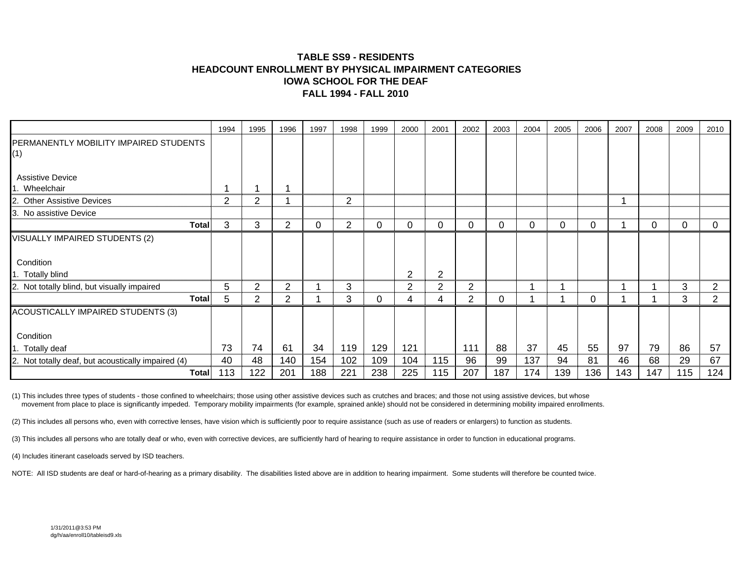#### **TABLE SS9 - RESIDENTSHEADCOUNT ENROLLMENT BY PHYSICAL IMPAIRMENT CATEGORIESIOWA SCHOOL FOR THE DEAFFALL 1994 - FALL 2010**

|                                                    | 1994 | 1995 | 1996           | 1997 | 1998 | 1999 | 2000 | 2001           | 2002           | 2003 | 2004 | 2005 | 2006 | 2007 | 2008 | 2009 | 2010           |
|----------------------------------------------------|------|------|----------------|------|------|------|------|----------------|----------------|------|------|------|------|------|------|------|----------------|
| PERMANENTLY MOBILITY IMPAIRED STUDENTS             |      |      |                |      |      |      |      |                |                |      |      |      |      |      |      |      |                |
| (1)                                                |      |      |                |      |      |      |      |                |                |      |      |      |      |      |      |      |                |
|                                                    |      |      |                |      |      |      |      |                |                |      |      |      |      |      |      |      |                |
| <b>Assistive Device</b>                            |      |      |                |      |      |      |      |                |                |      |      |      |      |      |      |      |                |
| Wheelchair                                         | ٠    |      |                |      |      |      |      |                |                |      |      |      |      |      |      |      |                |
| <b>Other Assistive Devices</b>                     | 2    | 2    |                |      | 2    |      |      |                |                |      |      |      |      |      |      |      |                |
| 3. No assistive Device                             |      |      |                |      |      |      |      |                |                |      |      |      |      |      |      |      |                |
| Total                                              | 3    | 3    | $\overline{2}$ | 0    | 2    | 0    | 0    | $\Omega$       | 0              | 0    | 0    | 0    | 0    |      | 0    | 0    | 0              |
| VISUALLY IMPAIRED STUDENTS (2)                     |      |      |                |      |      |      |      |                |                |      |      |      |      |      |      |      |                |
|                                                    |      |      |                |      |      |      |      |                |                |      |      |      |      |      |      |      |                |
| Condition                                          |      |      |                |      |      |      |      |                |                |      |      |      |      |      |      |      |                |
| 1. Totally blind                                   |      |      |                |      |      |      | 2    | $\overline{2}$ |                |      |      |      |      |      |      |      |                |
| 2. Not totally blind, but visually impaired        | 5    | 2    | $\overline{2}$ |      | 3    |      | 2    | $\overline{2}$ | 2              |      |      |      |      |      |      | 3    | 2              |
| Total                                              | 5    | 2    | $\overline{2}$ |      | 3    | 0    |      |                | $\overline{2}$ | 0    |      |      | 0    |      |      | 3    | $\overline{2}$ |
|                                                    |      |      |                |      |      |      | 4    | 4              |                |      |      |      |      |      |      |      |                |
| ACOUSTICALLY IMPAIRED STUDENTS (3)                 |      |      |                |      |      |      |      |                |                |      |      |      |      |      |      |      |                |
|                                                    |      |      |                |      |      |      |      |                |                |      |      |      |      |      |      |      |                |
| Condition                                          |      |      |                |      |      |      |      |                |                |      |      |      |      |      |      |      |                |
| 1. Totally deaf                                    | 73   | 74   | 61             | 34   | 119  | 129  | 121  |                | 111            | 88   | 37   | 45   | 55   | 97   | 79   | 86   | 57             |
| 2. Not totally deaf, but acoustically impaired (4) | 40   | 48   | 140            | 154  | 102  | 109  | 104  | 115            | 96             | 99   | 137  | 94   | 81   | 46   | 68   | 29   | 67             |
| Total                                              | 113  | 122  | 201            | 188  | 221  | 238  | 225  | 115            | 207            | 187  | 174  | 139  | 136  | 143  | 147  | 115  | 124            |

(1) This includes three types of students - those confined to wheelchairs; those using other assistive devices such as crutches and braces; and those not using assistive devices, but whose movement from place to place is significantly impeded. Temporary mobility impairments (for example, sprained ankle) should not be considered in determining mobility impaired enrollments.

(2) This includes all persons who, even with corrective lenses, have vision which is sufficiently poor to require assistance (such as use of readers or enlargers) to function as students.

(3) This includes all persons who are totally deaf or who, even with corrective devices, are sufficiently hard of hearing to require assistance in order to function in educational programs.

(4) Includes itinerant caseloads served by ISD teachers.

NOTE: All ISD students are deaf or hard-of-hearing as a primary disability. The disabilities listed above are in addition to hearing impairment. Some students will therefore be counted twice.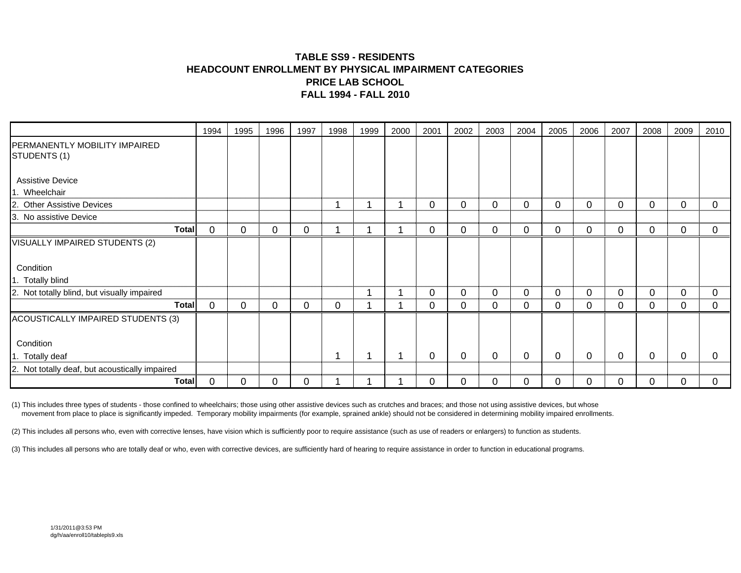#### **TABLE SS9 - RESIDENTSHEADCOUNT ENROLLMENT BY PHYSICAL IMPAIRMENT CATEGORIESPRICE LAB SCHOOL FALL 1994 - FALL 2010**

| 1994 | 1995                                  | 1996 | 1997        | 1998 | 1999 | 2000 | 2001 | 2002 | 2003 | 2004 | 2005 | 2006        | 2007 | 2008     | 2009 | 2010        |
|------|---------------------------------------|------|-------------|------|------|------|------|------|------|------|------|-------------|------|----------|------|-------------|
|      |                                       |      |             |      |      |      |      |      |      |      |      |             |      |          |      |             |
|      |                                       |      |             |      |      |      |      |      |      |      |      |             |      |          |      |             |
|      |                                       |      |             | 1    |      |      | 0    | 0    | 0    | 0    | 0    | 0           | 0    | $\Omega$ | 0    | 0           |
|      |                                       |      |             |      |      |      |      |      |      |      |      |             |      |          |      |             |
| 0    | 0                                     | 0    | 0           | и    |      |      | 0    | 0    | 0    | 0    | 0    | 0           | 0    | 0        | 0    | 0           |
|      |                                       |      |             |      |      |      |      |      |      |      |      |             |      |          |      |             |
|      |                                       |      |             |      |      |      |      |      |      |      |      |             |      |          |      |             |
|      |                                       |      |             |      |      |      |      |      |      |      |      |             |      |          |      |             |
|      |                                       |      |             |      |      |      | 0    | 0    | 0    | 0    | 0    | 0           | 0    | $\Omega$ | 0    | $\Omega$    |
| 0    | 0                                     | 0    | $\mathbf 0$ | 0    |      |      | 0    | 0    | 0    | 0    | 0    | $\mathbf 0$ | 0    | 0        | 0    | $\mathbf 0$ |
|      |                                       |      |             |      |      |      |      |      |      |      |      |             |      |          |      |             |
|      |                                       |      |             |      |      |      |      |      |      |      |      |             |      |          |      |             |
|      |                                       |      |             | и    |      |      | 0    | 0    | 0    | 0    | 0    | 0           | 0    | 0        | 0    | 0           |
|      |                                       |      |             |      |      |      |      |      |      |      |      |             |      |          |      |             |
| 0    | 0                                     | 0    |             |      |      |      | 0    | 0    | 0    | 0    |      | 0           | 0    |          | 0    |             |
|      | <b>Total</b><br><b>Total</b><br>Total |      |             |      |      |      |      |      |      |      |      |             |      |          |      |             |

(1) This includes three types of students - those confined to wheelchairs; those using other assistive devices such as crutches and braces; and those not using assistive devices, but whose movement from place to place is significantly impeded. Temporary mobility impairments (for example, sprained ankle) should not be considered in determining mobility impaired enrollments.

(2) This includes all persons who, even with corrective lenses, have vision which is sufficiently poor to require assistance (such as use of readers or enlargers) to function as students.

(3) This includes all persons who are totally deaf or who, even with corrective devices, are sufficiently hard of hearing to require assistance in order to function in educational programs.